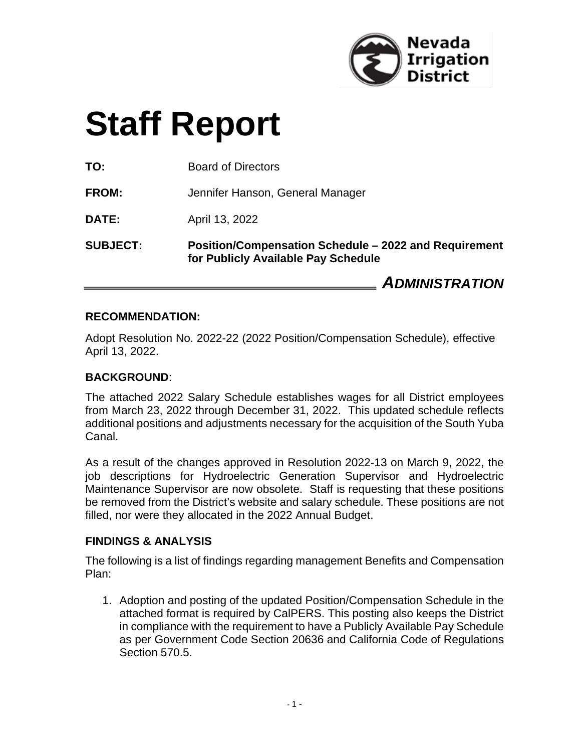

# **Staff Report**

**TO:** Board of Directors

**FROM:** Jennifer Hanson, General Manager

**DATE:** April 13, 2022

**SUBJECT: Position/Compensation Schedule – 2022 and Requirement for Publicly Available Pay Schedule** 

*ADMINISTRATION*

#### **RECOMMENDATION:**

Adopt Resolution No. 2022-22 (2022 Position/Compensation Schedule), effective April 13, 2022.

#### **BACKGROUND**:

The attached 2022 Salary Schedule establishes wages for all District employees from March 23, 2022 through December 31, 2022. This updated schedule reflects additional positions and adjustments necessary for the acquisition of the South Yuba Canal.

As a result of the changes approved in Resolution 2022-13 on March 9, 2022, the job descriptions for Hydroelectric Generation Supervisor and Hydroelectric Maintenance Supervisor are now obsolete. Staff is requesting that these positions be removed from the District's website and salary schedule. These positions are not filled, nor were they allocated in the 2022 Annual Budget.

#### **FINDINGS & ANALYSIS**

The following is a list of findings regarding management Benefits and Compensation Plan:

1. Adoption and posting of the updated Position/Compensation Schedule in the attached format is required by CalPERS. This posting also keeps the District in compliance with the requirement to have a Publicly Available Pay Schedule as per Government Code Section 20636 and California Code of Regulations Section 570.5.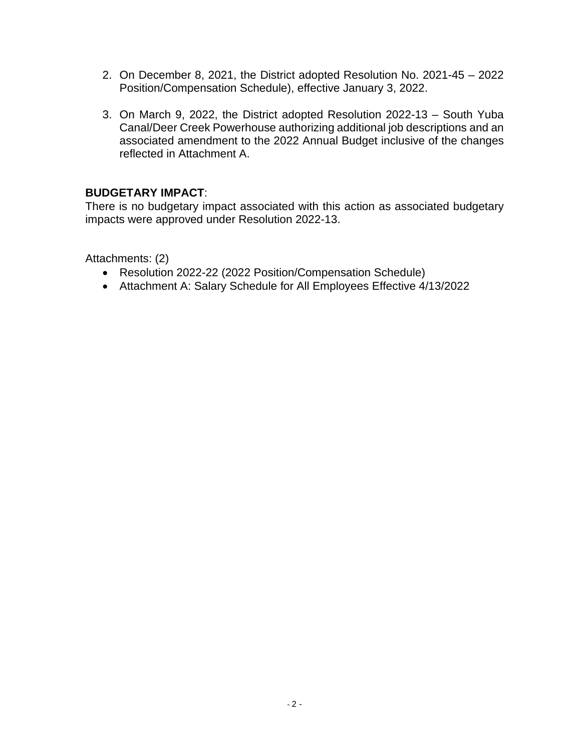- 2. On December 8, 2021, the District adopted Resolution No. 2021-45 2022 Position/Compensation Schedule), effective January 3, 2022.
- 3. On March 9, 2022, the District adopted Resolution 2022-13 South Yuba Canal/Deer Creek Powerhouse authorizing additional job descriptions and an associated amendment to the 2022 Annual Budget inclusive of the changes reflected in Attachment A.

#### **BUDGETARY IMPACT**:

There is no budgetary impact associated with this action as associated budgetary impacts were approved under Resolution 2022-13.

Attachments: (2)

- Resolution 2022-22 (2022 Position/Compensation Schedule)
- Attachment A: Salary Schedule for All Employees Effective 4/13/2022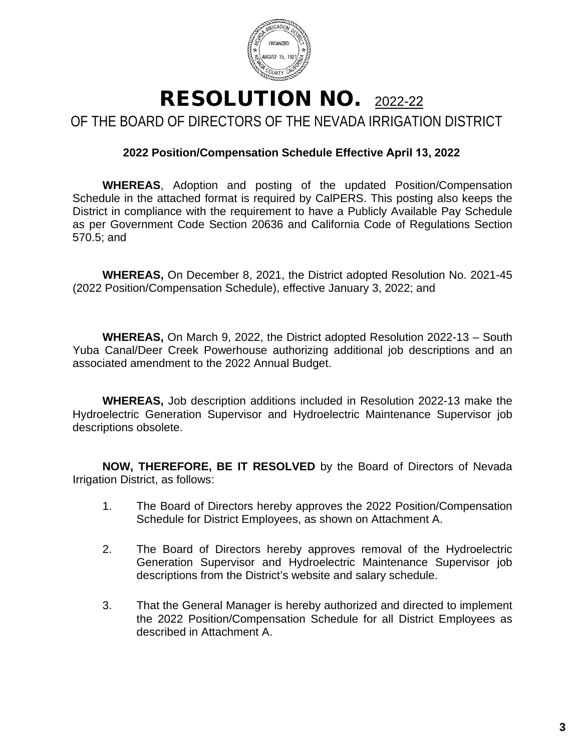

#### RESOLUTION NO. 2022-22 OF THE BOARD OF DIRECTORS OF THE NEVADA IRRIGATION DISTRICT

#### **2022 Position/Compensation Schedule Effective April 13, 2022**

**WHEREAS**, Adoption and posting of the updated Position/Compensation Schedule in the attached format is required by CalPERS. This posting also keeps the District in compliance with the requirement to have a Publicly Available Pay Schedule as per Government Code Section 20636 and California Code of Regulations Section 570.5; and

**WHEREAS,** On December 8, 2021, the District adopted Resolution No. 2021-45 (2022 Position/Compensation Schedule), effective January 3, 2022; and

**WHEREAS,** On March 9, 2022, the District adopted Resolution 2022-13 – South Yuba Canal/Deer Creek Powerhouse authorizing additional job descriptions and an associated amendment to the 2022 Annual Budget.

**WHEREAS,** Job description additions included in Resolution 2022-13 make the Hydroelectric Generation Supervisor and Hydroelectric Maintenance Supervisor job descriptions obsolete.

**NOW, THEREFORE, BE IT RESOLVED** by the Board of Directors of Nevada Irrigation District, as follows:

- 1. The Board of Directors hereby approves the 2022 Position/Compensation Schedule for District Employees, as shown on Attachment A.
- 2. The Board of Directors hereby approves removal of the Hydroelectric Generation Supervisor and Hydroelectric Maintenance Supervisor job descriptions from the District's website and salary schedule.
- 3. That the General Manager is hereby authorized and directed to implement the 2022 Position/Compensation Schedule for all District Employees as described in Attachment A.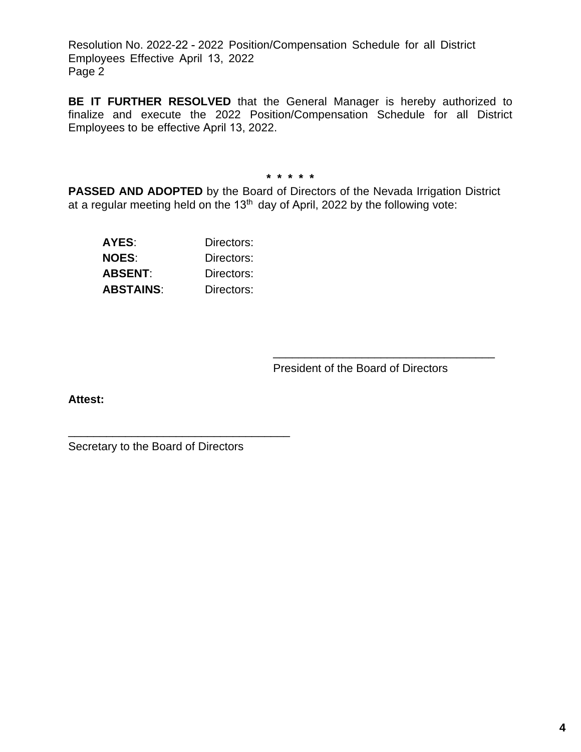Resolution No. 2022-22 - 2022 Position/Compensation Schedule for all District Employees Effective April 13, 2022 Page 2

**BE IT FURTHER RESOLVED** that the General Manager is hereby authorized to finalize and execute the 2022 Position/Compensation Schedule for all District Employees to be effective April 13, 2022.

**\* \* \* \* \***

**PASSED AND ADOPTED** by the Board of Directors of the Nevada Irrigation District at a regular meeting held on the  $13<sup>th</sup>$  day of April, 2022 by the following vote:

| AYES:            | Directors: |
|------------------|------------|
| <b>NOES:</b>     | Directors: |
| ABSENT:          | Directors: |
| <b>ABSTAINS:</b> | Directors: |

President of the Board of Directors

\_\_\_\_\_\_\_\_\_\_\_\_\_\_\_\_\_\_\_\_\_\_\_\_\_\_\_\_\_\_\_\_\_\_\_

**Attest:**

Secretary to the Board of Directors

\_\_\_\_\_\_\_\_\_\_\_\_\_\_\_\_\_\_\_\_\_\_\_\_\_\_\_\_\_\_\_\_\_\_\_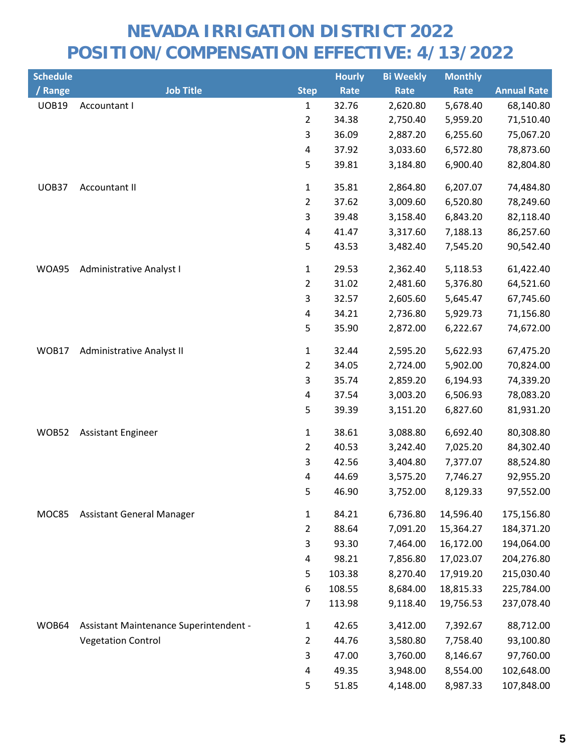| <b>Schedule</b> |                                        |                         | <b>Hourly</b> | <b>Bi Weekly</b> | <b>Monthly</b> |                    |
|-----------------|----------------------------------------|-------------------------|---------------|------------------|----------------|--------------------|
| / Range         | <b>Job Title</b>                       | <b>Step</b>             | Rate          | Rate             | Rate           | <b>Annual Rate</b> |
| <b>UOB19</b>    | Accountant I                           | $\mathbf 1$             | 32.76         | 2,620.80         | 5,678.40       | 68,140.80          |
|                 |                                        | $\overline{2}$          | 34.38         | 2,750.40         | 5,959.20       | 71,510.40          |
|                 |                                        | 3                       | 36.09         | 2,887.20         | 6,255.60       | 75,067.20          |
|                 |                                        | $\overline{\mathbf{4}}$ | 37.92         | 3,033.60         | 6,572.80       | 78,873.60          |
|                 |                                        | 5                       | 39.81         | 3,184.80         | 6,900.40       | 82,804.80          |
| UOB37           | <b>Accountant II</b>                   | $\mathbf 1$             | 35.81         | 2,864.80         | 6,207.07       | 74,484.80          |
|                 |                                        | $\overline{2}$          | 37.62         | 3,009.60         | 6,520.80       | 78,249.60          |
|                 |                                        | 3                       | 39.48         | 3,158.40         | 6,843.20       | 82,118.40          |
|                 |                                        | $\overline{\mathbf{4}}$ | 41.47         | 3,317.60         | 7,188.13       | 86,257.60          |
|                 |                                        | 5                       | 43.53         | 3,482.40         | 7,545.20       | 90,542.40          |
| WOA95           | <b>Administrative Analyst I</b>        | $\mathbf 1$             | 29.53         | 2,362.40         | 5,118.53       | 61,422.40          |
|                 |                                        | $\overline{2}$          | 31.02         | 2,481.60         | 5,376.80       | 64,521.60          |
|                 |                                        | 3                       | 32.57         | 2,605.60         | 5,645.47       | 67,745.60          |
|                 |                                        | 4                       | 34.21         | 2,736.80         | 5,929.73       | 71,156.80          |
|                 |                                        | 5                       | 35.90         | 2,872.00         | 6,222.67       | 74,672.00          |
| WOB17           | Administrative Analyst II              | $\mathbf{1}$            | 32.44         | 2,595.20         | 5,622.93       | 67,475.20          |
|                 |                                        | $\overline{2}$          | 34.05         | 2,724.00         | 5,902.00       | 70,824.00          |
|                 |                                        | 3                       | 35.74         | 2,859.20         | 6,194.93       | 74,339.20          |
|                 |                                        | 4                       | 37.54         | 3,003.20         | 6,506.93       | 78,083.20          |
|                 |                                        | 5                       | 39.39         | 3,151.20         | 6,827.60       | 81,931.20          |
| WOB52           | <b>Assistant Engineer</b>              | $\mathbf 1$             | 38.61         | 3,088.80         | 6,692.40       | 80,308.80          |
|                 |                                        | $\overline{2}$          | 40.53         | 3,242.40         | 7,025.20       | 84,302.40          |
|                 |                                        | 3                       | 42.56         | 3,404.80         | 7,377.07       | 88,524.80          |
|                 |                                        | 4                       | 44.69         | 3,575.20         | 7,746.27       | 92,955.20          |
|                 |                                        | 5                       | 46.90         | 3,752.00         | 8,129.33       | 97,552.00          |
| MOC85           | <b>Assistant General Manager</b>       | $\mathbf{1}$            | 84.21         | 6,736.80         | 14,596.40      | 175,156.80         |
|                 |                                        | $\overline{2}$          | 88.64         | 7,091.20         | 15,364.27      | 184,371.20         |
|                 |                                        | 3                       | 93.30         | 7,464.00         | 16,172.00      | 194,064.00         |
|                 |                                        | 4                       | 98.21         | 7,856.80         | 17,023.07      | 204,276.80         |
|                 |                                        | 5                       | 103.38        | 8,270.40         | 17,919.20      | 215,030.40         |
|                 |                                        | 6                       | 108.55        | 8,684.00         | 18,815.33      | 225,784.00         |
|                 |                                        | $\overline{7}$          | 113.98        | 9,118.40         | 19,756.53      | 237,078.40         |
| WOB64           | Assistant Maintenance Superintendent - | $\mathbf{1}$            | 42.65         | 3,412.00         | 7,392.67       | 88,712.00          |
|                 | <b>Vegetation Control</b>              | $\overline{2}$          | 44.76         | 3,580.80         | 7,758.40       | 93,100.80          |
|                 |                                        | 3                       | 47.00         | 3,760.00         | 8,146.67       | 97,760.00          |
|                 |                                        | 4                       | 49.35         | 3,948.00         | 8,554.00       | 102,648.00         |
|                 |                                        | 5                       | 51.85         | 4,148.00         | 8,987.33       | 107,848.00         |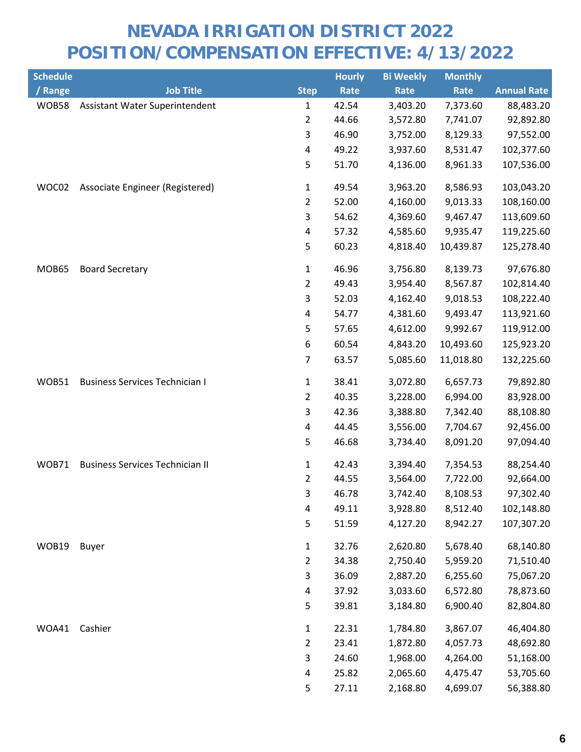| <b>Schedule</b> |                                        |                | <b>Hourly</b> | <b>Bi Weekly</b> | <b>Monthly</b> |                    |
|-----------------|----------------------------------------|----------------|---------------|------------------|----------------|--------------------|
| / Range         | <b>Job Title</b>                       | <b>Step</b>    | Rate          | Rate             | Rate           | <b>Annual Rate</b> |
| <b>WOB58</b>    | Assistant Water Superintendent         | $\mathbf 1$    | 42.54         | 3,403.20         | 7,373.60       | 88,483.20          |
|                 |                                        | $\overline{2}$ | 44.66         | 3,572.80         | 7,741.07       | 92,892.80          |
|                 |                                        | 3              | 46.90         | 3,752.00         | 8,129.33       | 97,552.00          |
|                 |                                        | 4              | 49.22         | 3,937.60         | 8,531.47       | 102,377.60         |
|                 |                                        | 5              | 51.70         | 4,136.00         | 8,961.33       | 107,536.00         |
| WOC02           | Associate Engineer (Registered)        | $\mathbf{1}$   | 49.54         | 3,963.20         | 8,586.93       | 103,043.20         |
|                 |                                        | $\overline{2}$ | 52.00         | 4,160.00         | 9,013.33       | 108,160.00         |
|                 |                                        | 3              | 54.62         | 4,369.60         | 9,467.47       | 113,609.60         |
|                 |                                        | 4              | 57.32         | 4,585.60         | 9,935.47       | 119,225.60         |
|                 |                                        | 5              | 60.23         | 4,818.40         | 10,439.87      | 125,278.40         |
| MOB65           | <b>Board Secretary</b>                 | $\mathbf{1}$   | 46.96         | 3,756.80         | 8,139.73       | 97,676.80          |
|                 |                                        | $\overline{2}$ | 49.43         | 3,954.40         | 8,567.87       | 102,814.40         |
|                 |                                        | 3              | 52.03         | 4,162.40         | 9,018.53       | 108,222.40         |
|                 |                                        | 4              | 54.77         | 4,381.60         | 9,493.47       | 113,921.60         |
|                 |                                        | 5              | 57.65         | 4,612.00         | 9,992.67       | 119,912.00         |
|                 |                                        | 6              | 60.54         | 4,843.20         | 10,493.60      | 125,923.20         |
|                 |                                        | $\overline{7}$ | 63.57         | 5,085.60         | 11,018.80      | 132,225.60         |
| WOB51           | <b>Business Services Technician I</b>  | 1              | 38.41         | 3,072.80         | 6,657.73       | 79,892.80          |
|                 |                                        | $\overline{2}$ | 40.35         | 3,228.00         | 6,994.00       | 83,928.00          |
|                 |                                        | 3              | 42.36         | 3,388.80         | 7,342.40       | 88,108.80          |
|                 |                                        | 4              | 44.45         | 3,556.00         | 7,704.67       | 92,456.00          |
|                 |                                        | 5              | 46.68         | 3,734.40         | 8,091.20       | 97,094.40          |
| <b>WOB71</b>    | <b>Business Services Technician II</b> | $\mathbf{1}$   | 42.43         | 3,394.40         | 7,354.53       | 88,254.40          |
|                 |                                        | $\overline{2}$ | 44.55         | 3,564.00         | 7,722.00       | 92,664.00          |
|                 |                                        | 3              | 46.78         | 3,742.40         | 8,108.53       | 97,302.40          |
|                 |                                        | 4              | 49.11         | 3,928.80         | 8,512.40       | 102,148.80         |
|                 |                                        | 5              | 51.59         | 4,127.20         | 8,942.27       | 107,307.20         |
| WOB19           | <b>Buyer</b>                           | $\mathbf{1}$   | 32.76         | 2,620.80         | 5,678.40       | 68,140.80          |
|                 |                                        | $\overline{2}$ | 34.38         | 2,750.40         | 5,959.20       | 71,510.40          |
|                 |                                        | 3              | 36.09         | 2,887.20         | 6,255.60       | 75,067.20          |
|                 |                                        | 4              | 37.92         | 3,033.60         | 6,572.80       | 78,873.60          |
|                 |                                        | 5              | 39.81         | 3,184.80         | 6,900.40       | 82,804.80          |
| WOA41           | Cashier                                | $\mathbf{1}$   | 22.31         | 1,784.80         | 3,867.07       | 46,404.80          |
|                 |                                        | $\overline{2}$ | 23.41         | 1,872.80         | 4,057.73       | 48,692.80          |
|                 |                                        | 3              | 24.60         | 1,968.00         | 4,264.00       | 51,168.00          |
|                 |                                        | 4              | 25.82         | 2,065.60         | 4,475.47       | 53,705.60          |
|                 |                                        | 5              | 27.11         | 2,168.80         | 4,699.07       | 56,388.80          |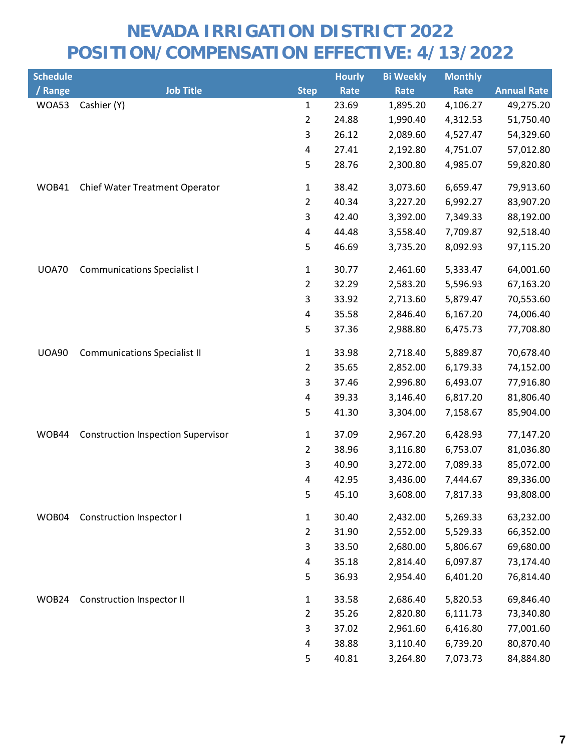| <b>Schedule</b> |                                           |                | <b>Hourly</b> | <b>Bi Weekly</b> | <b>Monthly</b> |                    |
|-----------------|-------------------------------------------|----------------|---------------|------------------|----------------|--------------------|
| / Range         | <b>Job Title</b>                          | <b>Step</b>    | Rate          | Rate             | Rate           | <b>Annual Rate</b> |
| WOA53           | Cashier (Y)                               | 1              | 23.69         | 1,895.20         | 4,106.27       | 49,275.20          |
|                 |                                           | 2              | 24.88         | 1,990.40         | 4,312.53       | 51,750.40          |
|                 |                                           | 3              | 26.12         | 2,089.60         | 4,527.47       | 54,329.60          |
|                 |                                           | 4              | 27.41         | 2,192.80         | 4,751.07       | 57,012.80          |
|                 |                                           | 5              | 28.76         | 2,300.80         | 4,985.07       | 59,820.80          |
| WOB41           | Chief Water Treatment Operator            | $\mathbf{1}$   | 38.42         | 3,073.60         | 6,659.47       | 79,913.60          |
|                 |                                           | 2              | 40.34         | 3,227.20         | 6,992.27       | 83,907.20          |
|                 |                                           | 3              | 42.40         | 3,392.00         | 7,349.33       | 88,192.00          |
|                 |                                           | 4              | 44.48         | 3,558.40         | 7,709.87       | 92,518.40          |
|                 |                                           | 5              | 46.69         | 3,735.20         | 8,092.93       | 97,115.20          |
| <b>UOA70</b>    | <b>Communications Specialist I</b>        | $\mathbf{1}$   | 30.77         | 2,461.60         | 5,333.47       | 64,001.60          |
|                 |                                           | $\overline{2}$ | 32.29         | 2,583.20         | 5,596.93       | 67,163.20          |
|                 |                                           | 3              | 33.92         | 2,713.60         | 5,879.47       | 70,553.60          |
|                 |                                           | 4              | 35.58         | 2,846.40         | 6,167.20       | 74,006.40          |
|                 |                                           | 5              | 37.36         | 2,988.80         | 6,475.73       | 77,708.80          |
| <b>UOA90</b>    | <b>Communications Specialist II</b>       | $\mathbf{1}$   | 33.98         | 2,718.40         | 5,889.87       | 70,678.40          |
|                 |                                           | 2              | 35.65         | 2,852.00         | 6,179.33       | 74,152.00          |
|                 |                                           | 3              | 37.46         | 2,996.80         | 6,493.07       | 77,916.80          |
|                 |                                           | 4              | 39.33         | 3,146.40         | 6,817.20       | 81,806.40          |
|                 |                                           | 5              | 41.30         | 3,304.00         | 7,158.67       | 85,904.00          |
| WOB44           | <b>Construction Inspection Supervisor</b> | $\mathbf{1}$   | 37.09         | 2,967.20         | 6,428.93       | 77,147.20          |
|                 |                                           | $\overline{2}$ | 38.96         | 3,116.80         | 6,753.07       | 81,036.80          |
|                 |                                           | 3              | 40.90         | 3,272.00         | 7,089.33       | 85,072.00          |
|                 |                                           | 4              | 42.95         | 3,436.00         | 7,444.67       | 89,336.00          |
|                 |                                           | 5              | 45.10         | 3,608.00         | 7,817.33       | 93,808.00          |
| WOB04           | Construction Inspector I                  | $\mathbf{1}$   | 30.40         | 2,432.00         | 5,269.33       | 63,232.00          |
|                 |                                           | $\overline{2}$ | 31.90         | 2,552.00         | 5,529.33       | 66,352.00          |
|                 |                                           | 3              | 33.50         | 2,680.00         | 5,806.67       | 69,680.00          |
|                 |                                           | 4              | 35.18         | 2,814.40         | 6,097.87       | 73,174.40          |
|                 |                                           | 5              | 36.93         | 2,954.40         | 6,401.20       | 76,814.40          |
| WOB24           | <b>Construction Inspector II</b>          | $\mathbf{1}$   | 33.58         | 2,686.40         | 5,820.53       | 69,846.40          |
|                 |                                           | $\overline{2}$ | 35.26         | 2,820.80         | 6,111.73       | 73,340.80          |
|                 |                                           | 3              | 37.02         | 2,961.60         | 6,416.80       | 77,001.60          |
|                 |                                           | 4              | 38.88         | 3,110.40         | 6,739.20       | 80,870.40          |
|                 |                                           | 5              | 40.81         | 3,264.80         | 7,073.73       | 84,884.80          |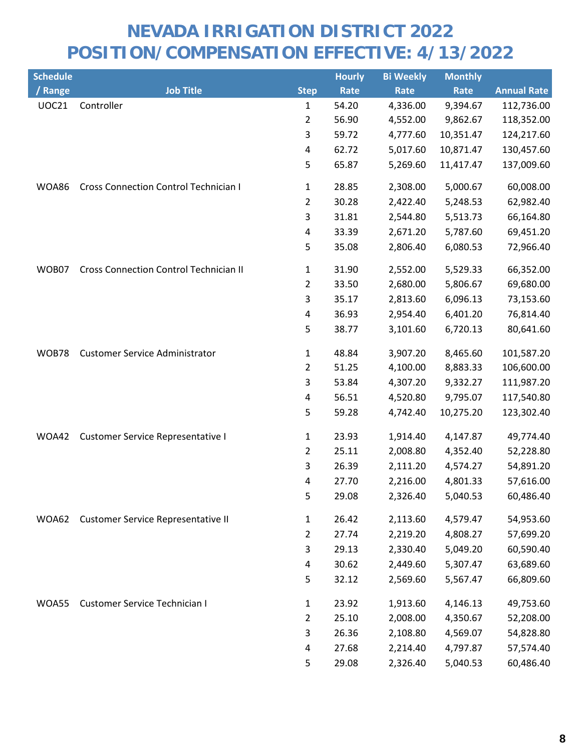| <b>Schedule</b> |                                               |                | <b>Hourly</b> | <b>Bi Weekly</b> | <b>Monthly</b> |                    |
|-----------------|-----------------------------------------------|----------------|---------------|------------------|----------------|--------------------|
| / Range         | <b>Job Title</b>                              | <b>Step</b>    | Rate          | Rate             | Rate           | <b>Annual Rate</b> |
| <b>UOC21</b>    | Controller                                    | $\mathbf{1}$   | 54.20         | 4,336.00         | 9,394.67       | 112,736.00         |
|                 |                                               | 2              | 56.90         | 4,552.00         | 9,862.67       | 118,352.00         |
|                 |                                               | 3              | 59.72         | 4,777.60         | 10,351.47      | 124,217.60         |
|                 |                                               | 4              | 62.72         | 5,017.60         | 10,871.47      | 130,457.60         |
|                 |                                               | 5              | 65.87         | 5,269.60         | 11,417.47      | 137,009.60         |
| WOA86           | <b>Cross Connection Control Technician I</b>  | $\mathbf{1}$   | 28.85         | 2,308.00         | 5,000.67       | 60,008.00          |
|                 |                                               | $\overline{2}$ | 30.28         | 2,422.40         | 5,248.53       | 62,982.40          |
|                 |                                               | 3              | 31.81         | 2,544.80         | 5,513.73       | 66,164.80          |
|                 |                                               | 4              | 33.39         | 2,671.20         | 5,787.60       | 69,451.20          |
|                 |                                               | 5              | 35.08         | 2,806.40         | 6,080.53       | 72,966.40          |
| WOB07           | <b>Cross Connection Control Technician II</b> | 1              | 31.90         | 2,552.00         | 5,529.33       | 66,352.00          |
|                 |                                               | $\overline{2}$ | 33.50         | 2,680.00         | 5,806.67       | 69,680.00          |
|                 |                                               | 3              | 35.17         | 2,813.60         | 6,096.13       | 73,153.60          |
|                 |                                               | 4              | 36.93         | 2,954.40         | 6,401.20       | 76,814.40          |
|                 |                                               | 5              | 38.77         | 3,101.60         | 6,720.13       | 80,641.60          |
| <b>WOB78</b>    | <b>Customer Service Administrator</b>         | 1              | 48.84         | 3,907.20         | 8,465.60       | 101,587.20         |
|                 |                                               | $\overline{2}$ | 51.25         | 4,100.00         | 8,883.33       | 106,600.00         |
|                 |                                               | 3              | 53.84         | 4,307.20         | 9,332.27       | 111,987.20         |
|                 |                                               | 4              | 56.51         | 4,520.80         | 9,795.07       | 117,540.80         |
|                 |                                               | 5              | 59.28         | 4,742.40         | 10,275.20      | 123,302.40         |
| WOA42           | <b>Customer Service Representative I</b>      | $\mathbf{1}$   | 23.93         | 1,914.40         | 4,147.87       | 49,774.40          |
|                 |                                               | $\overline{2}$ | 25.11         | 2,008.80         | 4,352.40       | 52,228.80          |
|                 |                                               | 3              | 26.39         | 2,111.20         | 4,574.27       | 54,891.20          |
|                 |                                               | 4              | 27.70         | 2,216.00         | 4,801.33       | 57,616.00          |
|                 |                                               | 5              | 29.08         | 2,326.40         | 5,040.53       | 60,486.40          |
| WOA62           | Customer Service Representative II            | $\mathbf{1}$   | 26.42         | 2,113.60         | 4,579.47       | 54,953.60          |
|                 |                                               | $\overline{2}$ | 27.74         | 2,219.20         | 4,808.27       | 57,699.20          |
|                 |                                               | 3              | 29.13         | 2,330.40         | 5,049.20       | 60,590.40          |
|                 |                                               | 4              | 30.62         | 2,449.60         | 5,307.47       | 63,689.60          |
|                 |                                               | 5              | 32.12         | 2,569.60         | 5,567.47       | 66,809.60          |
| WOA55           | Customer Service Technician I                 | $\mathbf{1}$   | 23.92         | 1,913.60         | 4,146.13       | 49,753.60          |
|                 |                                               | $\overline{2}$ | 25.10         | 2,008.00         | 4,350.67       | 52,208.00          |
|                 |                                               | 3              | 26.36         | 2,108.80         | 4,569.07       | 54,828.80          |
|                 |                                               | 4              | 27.68         | 2,214.40         | 4,797.87       | 57,574.40          |
|                 |                                               | 5              | 29.08         | 2,326.40         | 5,040.53       | 60,486.40          |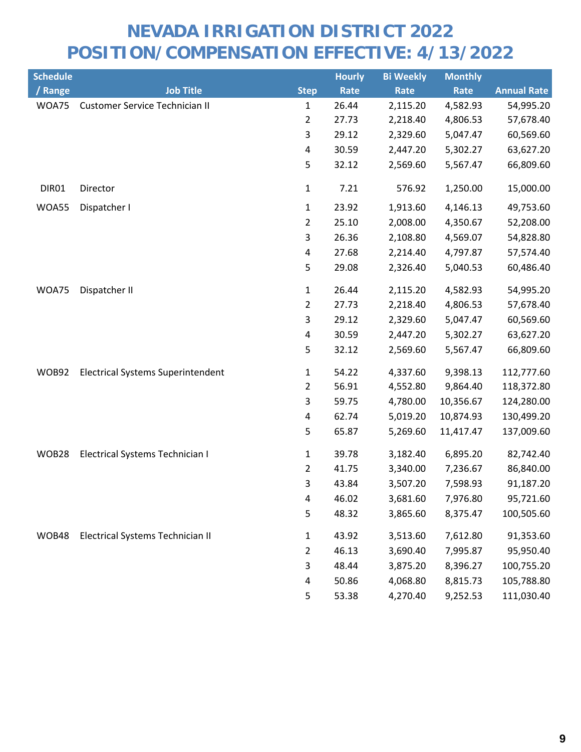| <b>Schedule</b> |                                          |                         | <b>Hourly</b> | <b>Bi Weekly</b> | <b>Monthly</b> |                    |
|-----------------|------------------------------------------|-------------------------|---------------|------------------|----------------|--------------------|
| / Range         | <b>Job Title</b>                         | <b>Step</b>             | Rate          | Rate             | Rate           | <b>Annual Rate</b> |
| WOA75           | <b>Customer Service Technician II</b>    | $\mathbf{1}$            | 26.44         | 2,115.20         | 4,582.93       | 54,995.20          |
|                 |                                          | $\overline{2}$          | 27.73         | 2,218.40         | 4,806.53       | 57,678.40          |
|                 |                                          | 3                       | 29.12         | 2,329.60         | 5,047.47       | 60,569.60          |
|                 |                                          | 4                       | 30.59         | 2,447.20         | 5,302.27       | 63,627.20          |
|                 |                                          | 5                       | 32.12         | 2,569.60         | 5,567.47       | 66,809.60          |
| DIR01           | Director                                 | $\mathbf{1}$            | 7.21          | 576.92           | 1,250.00       | 15,000.00          |
| WOA55           | Dispatcher I                             | $\mathbf{1}$            | 23.92         | 1,913.60         | 4,146.13       | 49,753.60          |
|                 |                                          | $\overline{2}$          | 25.10         | 2,008.00         | 4,350.67       | 52,208.00          |
|                 |                                          | 3                       | 26.36         | 2,108.80         | 4,569.07       | 54,828.80          |
|                 |                                          | 4                       | 27.68         | 2,214.40         | 4,797.87       | 57,574.40          |
|                 |                                          | 5                       | 29.08         | 2,326.40         | 5,040.53       | 60,486.40          |
| WOA75           | Dispatcher II                            | $\mathbf 1$             | 26.44         | 2,115.20         | 4,582.93       | 54,995.20          |
|                 |                                          | $\overline{2}$          | 27.73         | 2,218.40         | 4,806.53       | 57,678.40          |
|                 |                                          | $\mathsf 3$             | 29.12         | 2,329.60         | 5,047.47       | 60,569.60          |
|                 |                                          | $\overline{\mathbf{4}}$ | 30.59         | 2,447.20         | 5,302.27       | 63,627.20          |
|                 |                                          | 5                       | 32.12         | 2,569.60         | 5,567.47       | 66,809.60          |
| WOB92           | <b>Electrical Systems Superintendent</b> | $\mathbf{1}$            | 54.22         | 4,337.60         | 9,398.13       | 112,777.60         |
|                 |                                          | $\overline{2}$          | 56.91         | 4,552.80         | 9,864.40       | 118,372.80         |
|                 |                                          | 3                       | 59.75         | 4,780.00         | 10,356.67      | 124,280.00         |
|                 |                                          | 4                       | 62.74         | 5,019.20         | 10,874.93      | 130,499.20         |
|                 |                                          | 5                       | 65.87         | 5,269.60         | 11,417.47      | 137,009.60         |
| WOB28           | Electrical Systems Technician I          | $\mathbf{1}$            | 39.78         | 3,182.40         | 6,895.20       | 82,742.40          |
|                 |                                          | $\overline{2}$          | 41.75         | 3,340.00         | 7,236.67       | 86,840.00          |
|                 |                                          | 3                       | 43.84         | 3,507.20         | 7,598.93       | 91,187.20          |
|                 |                                          | $\overline{\mathbf{4}}$ | 46.02         | 3,681.60         | 7,976.80       | 95,721.60          |
|                 |                                          | 5                       | 48.32         | 3,865.60         | 8,375.47       | 100,505.60         |
| WOB48           | Electrical Systems Technician II         | $\mathbf{1}$            | 43.92         | 3,513.60         | 7,612.80       | 91,353.60          |
|                 |                                          | $\overline{2}$          | 46.13         | 3,690.40         | 7,995.87       | 95,950.40          |
|                 |                                          | 3                       | 48.44         | 3,875.20         | 8,396.27       | 100,755.20         |
|                 |                                          | 4                       | 50.86         | 4,068.80         | 8,815.73       | 105,788.80         |
|                 |                                          | 5                       | 53.38         | 4,270.40         | 9,252.53       | 111,030.40         |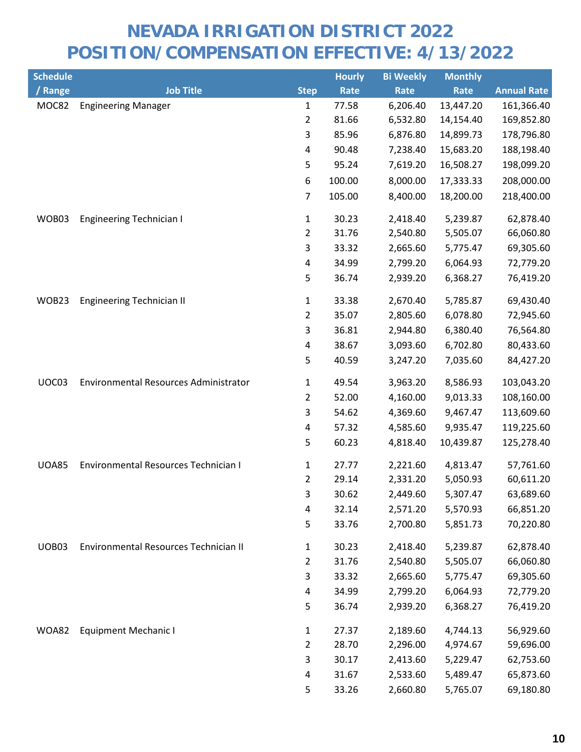| <b>Schedule</b> |                                       |                         | <b>Hourly</b> | <b>Bi Weekly</b> | <b>Monthly</b> |                    |
|-----------------|---------------------------------------|-------------------------|---------------|------------------|----------------|--------------------|
| / Range         | <b>Job Title</b>                      | <b>Step</b>             | Rate          | Rate             | Rate           | <b>Annual Rate</b> |
| MOC82           | <b>Engineering Manager</b>            | $\mathbf{1}$            | 77.58         | 6,206.40         | 13,447.20      | 161,366.40         |
|                 |                                       | 2                       | 81.66         | 6,532.80         | 14,154.40      | 169,852.80         |
|                 |                                       | 3                       | 85.96         | 6,876.80         | 14,899.73      | 178,796.80         |
|                 |                                       | $\overline{\mathbf{4}}$ | 90.48         | 7,238.40         | 15,683.20      | 188,198.40         |
|                 |                                       | 5                       | 95.24         | 7,619.20         | 16,508.27      | 198,099.20         |
|                 |                                       | 6                       | 100.00        | 8,000.00         | 17,333.33      | 208,000.00         |
|                 |                                       | $\overline{7}$          | 105.00        | 8,400.00         | 18,200.00      | 218,400.00         |
| WOB03           | <b>Engineering Technician I</b>       | $\mathbf{1}$            | 30.23         | 2,418.40         | 5,239.87       | 62,878.40          |
|                 |                                       | $\overline{2}$          | 31.76         | 2,540.80         | 5,505.07       | 66,060.80          |
|                 |                                       | 3                       | 33.32         | 2,665.60         | 5,775.47       | 69,305.60          |
|                 |                                       | $\overline{\mathbf{4}}$ | 34.99         | 2,799.20         | 6,064.93       | 72,779.20          |
|                 |                                       | 5                       | 36.74         | 2,939.20         | 6,368.27       | 76,419.20          |
| WOB23           | <b>Engineering Technician II</b>      | 1                       | 33.38         | 2,670.40         | 5,785.87       | 69,430.40          |
|                 |                                       | $\overline{2}$          | 35.07         | 2,805.60         | 6,078.80       | 72,945.60          |
|                 |                                       | 3                       | 36.81         | 2,944.80         | 6,380.40       | 76,564.80          |
|                 |                                       | 4                       | 38.67         | 3,093.60         | 6,702.80       | 80,433.60          |
|                 |                                       | 5                       | 40.59         | 3,247.20         | 7,035.60       | 84,427.20          |
| UOC03           | Environmental Resources Administrator | 1                       | 49.54         | 3,963.20         | 8,586.93       | 103,043.20         |
|                 |                                       | $\overline{c}$          | 52.00         | 4,160.00         | 9,013.33       | 108,160.00         |
|                 |                                       | 3                       | 54.62         | 4,369.60         | 9,467.47       | 113,609.60         |
|                 |                                       | 4                       | 57.32         | 4,585.60         | 9,935.47       | 119,225.60         |
|                 |                                       | 5                       | 60.23         | 4,818.40         | 10,439.87      | 125,278.40         |
| <b>UOA85</b>    | Environmental Resources Technician I  | $\mathbf{1}$            | 27.77         | 2,221.60         | 4,813.47       | 57,761.60          |
|                 |                                       | $\overline{2}$          | 29.14         | 2,331.20         | 5,050.93       | 60,611.20          |
|                 |                                       | 3                       | 30.62         | 2,449.60         | 5,307.47       | 63,689.60          |
|                 |                                       | $\overline{\mathbf{4}}$ | 32.14         | 2,571.20         | 5,570.93       | 66,851.20          |
|                 |                                       | 5                       | 33.76         | 2,700.80         | 5,851.73       | 70,220.80          |
| UOB03           | Environmental Resources Technician II | $\mathbf{1}$            | 30.23         | 2,418.40         | 5,239.87       | 62,878.40          |
|                 |                                       | $\overline{2}$          | 31.76         | 2,540.80         | 5,505.07       | 66,060.80          |
|                 |                                       | 3                       | 33.32         | 2,665.60         | 5,775.47       | 69,305.60          |
|                 |                                       | 4                       | 34.99         | 2,799.20         | 6,064.93       | 72,779.20          |
|                 |                                       | 5                       | 36.74         | 2,939.20         | 6,368.27       | 76,419.20          |
| <b>WOA82</b>    | <b>Equipment Mechanic I</b>           | $\mathbf{1}$            | 27.37         | 2,189.60         | 4,744.13       | 56,929.60          |
|                 |                                       | $\overline{2}$          | 28.70         | 2,296.00         | 4,974.67       | 59,696.00          |
|                 |                                       | 3                       | 30.17         | 2,413.60         | 5,229.47       | 62,753.60          |
|                 |                                       | 4                       | 31.67         | 2,533.60         | 5,489.47       | 65,873.60          |
|                 |                                       | 5                       | 33.26         | 2,660.80         | 5,765.07       | 69,180.80          |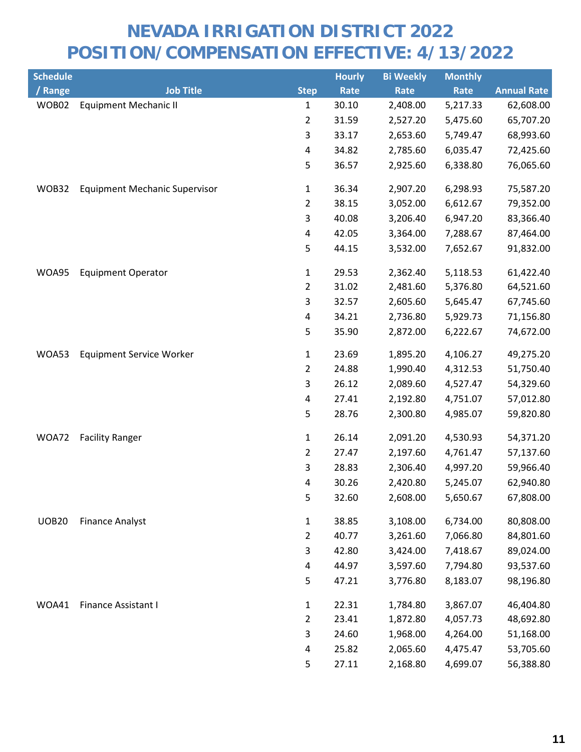| <b>Schedule</b> |                                      |                         | <b>Hourly</b> | <b>Bi Weekly</b> | <b>Monthly</b> |                    |
|-----------------|--------------------------------------|-------------------------|---------------|------------------|----------------|--------------------|
| / Range         | <b>Job Title</b>                     | <b>Step</b>             | Rate          | Rate             | Rate           | <b>Annual Rate</b> |
| WOB02           | <b>Equipment Mechanic II</b>         | 1                       | 30.10         | 2,408.00         | 5,217.33       | 62,608.00          |
|                 |                                      | $\overline{2}$          | 31.59         | 2,527.20         | 5,475.60       | 65,707.20          |
|                 |                                      | 3                       | 33.17         | 2,653.60         | 5,749.47       | 68,993.60          |
|                 |                                      | $\pmb{4}$               | 34.82         | 2,785.60         | 6,035.47       | 72,425.60          |
|                 |                                      | 5                       | 36.57         | 2,925.60         | 6,338.80       | 76,065.60          |
| WOB32           | <b>Equipment Mechanic Supervisor</b> | 1                       | 36.34         | 2,907.20         | 6,298.93       | 75,587.20          |
|                 |                                      | $\overline{2}$          | 38.15         | 3,052.00         | 6,612.67       | 79,352.00          |
|                 |                                      | $\mathsf 3$             | 40.08         | 3,206.40         | 6,947.20       | 83,366.40          |
|                 |                                      | $\overline{\mathbf{4}}$ | 42.05         | 3,364.00         | 7,288.67       | 87,464.00          |
|                 |                                      | 5                       | 44.15         | 3,532.00         | 7,652.67       | 91,832.00          |
| WOA95           | <b>Equipment Operator</b>            | $\mathbf{1}$            | 29.53         | 2,362.40         | 5,118.53       | 61,422.40          |
|                 |                                      | $\overline{2}$          | 31.02         | 2,481.60         | 5,376.80       | 64,521.60          |
|                 |                                      | 3                       | 32.57         | 2,605.60         | 5,645.47       | 67,745.60          |
|                 |                                      | $\overline{\mathbf{4}}$ | 34.21         | 2,736.80         | 5,929.73       | 71,156.80          |
|                 |                                      | 5                       | 35.90         | 2,872.00         | 6,222.67       | 74,672.00          |
| WOA53           | <b>Equipment Service Worker</b>      | $\mathbf{1}$            | 23.69         | 1,895.20         | 4,106.27       | 49,275.20          |
|                 |                                      | $\overline{2}$          | 24.88         | 1,990.40         | 4,312.53       | 51,750.40          |
|                 |                                      | 3                       | 26.12         | 2,089.60         | 4,527.47       | 54,329.60          |
|                 |                                      | $\pmb{4}$               | 27.41         | 2,192.80         | 4,751.07       | 57,012.80          |
|                 |                                      | 5                       | 28.76         | 2,300.80         | 4,985.07       | 59,820.80          |
| WOA72           | <b>Facility Ranger</b>               | $\mathbf{1}$            | 26.14         | 2,091.20         | 4,530.93       | 54,371.20          |
|                 |                                      | $\overline{2}$          | 27.47         | 2,197.60         | 4,761.47       | 57,137.60          |
|                 |                                      | $\mathsf 3$             | 28.83         | 2,306.40         | 4,997.20       | 59,966.40          |
|                 |                                      | 4                       | 30.26         | 2,420.80         | 5,245.07       | 62,940.80          |
|                 |                                      | 5                       | 32.60         | 2,608.00         | 5,650.67       | 67,808.00          |
| <b>UOB20</b>    | <b>Finance Analyst</b>               | $\mathbf{1}$            | 38.85         | 3,108.00         | 6,734.00       | 80,808.00          |
|                 |                                      | $\overline{2}$          | 40.77         | 3,261.60         | 7,066.80       | 84,801.60          |
|                 |                                      | 3                       | 42.80         | 3,424.00         | 7,418.67       | 89,024.00          |
|                 |                                      | 4                       | 44.97         | 3,597.60         | 7,794.80       | 93,537.60          |
|                 |                                      | 5                       | 47.21         | 3,776.80         | 8,183.07       | 98,196.80          |
| WOA41           | Finance Assistant I                  | $\mathbf{1}$            | 22.31         | 1,784.80         | 3,867.07       | 46,404.80          |
|                 |                                      | $\overline{2}$          | 23.41         | 1,872.80         | 4,057.73       | 48,692.80          |
|                 |                                      | 3                       | 24.60         | 1,968.00         | 4,264.00       | 51,168.00          |
|                 |                                      | 4                       | 25.82         | 2,065.60         | 4,475.47       | 53,705.60          |
|                 |                                      | 5                       | 27.11         | 2,168.80         | 4,699.07       | 56,388.80          |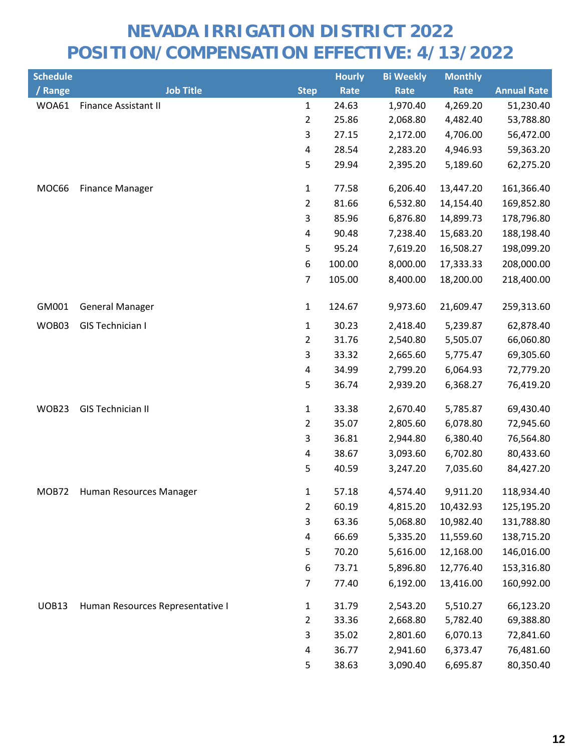| <b>Schedule</b> |                                  |                | <b>Hourly</b> | <b>Bi Weekly</b> | <b>Monthly</b> |                    |
|-----------------|----------------------------------|----------------|---------------|------------------|----------------|--------------------|
| / Range         | <b>Job Title</b>                 | <b>Step</b>    | <b>Rate</b>   | Rate             | Rate           | <b>Annual Rate</b> |
| WOA61           | <b>Finance Assistant II</b>      | $\mathbf{1}$   | 24.63         | 1,970.40         | 4,269.20       | 51,230.40          |
|                 |                                  | 2              | 25.86         | 2,068.80         | 4,482.40       | 53,788.80          |
|                 |                                  | 3              | 27.15         | 2,172.00         | 4,706.00       | 56,472.00          |
|                 |                                  | 4              | 28.54         | 2,283.20         | 4,946.93       | 59,363.20          |
|                 |                                  | 5              | 29.94         | 2,395.20         | 5,189.60       | 62,275.20          |
| MOC66           | <b>Finance Manager</b>           | $\mathbf{1}$   | 77.58         | 6,206.40         | 13,447.20      | 161,366.40         |
|                 |                                  | $\overline{2}$ | 81.66         | 6,532.80         | 14,154.40      | 169,852.80         |
|                 |                                  | 3              | 85.96         | 6,876.80         | 14,899.73      | 178,796.80         |
|                 |                                  | 4              | 90.48         | 7,238.40         | 15,683.20      | 188,198.40         |
|                 |                                  | 5              | 95.24         | 7,619.20         | 16,508.27      | 198,099.20         |
|                 |                                  | 6              | 100.00        | 8,000.00         | 17,333.33      | 208,000.00         |
|                 |                                  | $\overline{7}$ | 105.00        | 8,400.00         | 18,200.00      | 218,400.00         |
| GM001           | <b>General Manager</b>           | $\mathbf{1}$   | 124.67        | 9,973.60         | 21,609.47      | 259,313.60         |
| WOB03           | <b>GIS Technician I</b>          | $\mathbf{1}$   | 30.23         | 2,418.40         | 5,239.87       | 62,878.40          |
|                 |                                  | $\overline{c}$ | 31.76         | 2,540.80         | 5,505.07       | 66,060.80          |
|                 |                                  | 3              | 33.32         | 2,665.60         | 5,775.47       | 69,305.60          |
|                 |                                  | 4              | 34.99         | 2,799.20         | 6,064.93       | 72,779.20          |
|                 |                                  | 5              | 36.74         | 2,939.20         | 6,368.27       | 76,419.20          |
| WOB23           | <b>GIS Technician II</b>         | $\mathbf{1}$   | 33.38         | 2,670.40         | 5,785.87       | 69,430.40          |
|                 |                                  | $\overline{2}$ | 35.07         | 2,805.60         | 6,078.80       | 72,945.60          |
|                 |                                  | 3              | 36.81         | 2,944.80         | 6,380.40       | 76,564.80          |
|                 |                                  | 4              | 38.67         | 3,093.60         | 6,702.80       | 80,433.60          |
|                 |                                  | 5              | 40.59         | 3,247.20         | 7,035.60       | 84,427.20          |
|                 | MOB72 Human Resources Manager    | 1              | 57.18         | 4,574.40         | 9,911.20       | 118,934.40         |
|                 |                                  | $\overline{2}$ | 60.19         | 4,815.20         | 10,432.93      | 125,195.20         |
|                 |                                  | 3              | 63.36         | 5,068.80         | 10,982.40      | 131,788.80         |
|                 |                                  | 4              | 66.69         | 5,335.20         | 11,559.60      | 138,715.20         |
|                 |                                  | 5              | 70.20         | 5,616.00         | 12,168.00      | 146,016.00         |
|                 |                                  | 6              | 73.71         | 5,896.80         | 12,776.40      | 153,316.80         |
|                 |                                  | $\overline{7}$ | 77.40         | 6,192.00         | 13,416.00      | 160,992.00         |
| <b>UOB13</b>    | Human Resources Representative I | $\mathbf{1}$   | 31.79         | 2,543.20         | 5,510.27       | 66,123.20          |
|                 |                                  | 2              | 33.36         | 2,668.80         | 5,782.40       | 69,388.80          |
|                 |                                  | 3              | 35.02         | 2,801.60         | 6,070.13       | 72,841.60          |
|                 |                                  | 4              | 36.77         | 2,941.60         | 6,373.47       | 76,481.60          |
|                 |                                  | 5              | 38.63         | 3,090.40         | 6,695.87       | 80,350.40          |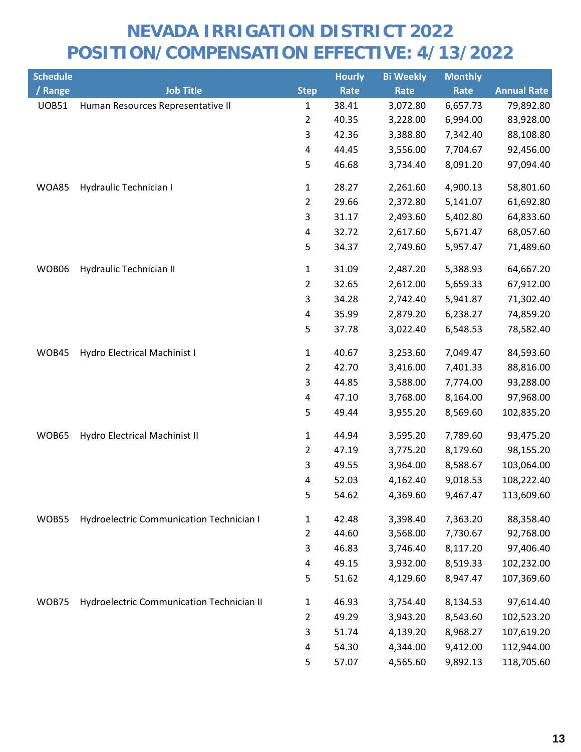| <b>Schedule</b> |                                                 |                | <b>Hourly</b> | <b>Bi Weekly</b> | <b>Monthly</b> |                    |
|-----------------|-------------------------------------------------|----------------|---------------|------------------|----------------|--------------------|
| / Range         | <b>Job Title</b>                                | <b>Step</b>    | <b>Rate</b>   | Rate             | Rate           | <b>Annual Rate</b> |
| <b>UOB51</b>    | Human Resources Representative II               | $\mathbf{1}$   | 38.41         | 3,072.80         | 6,657.73       | 79,892.80          |
|                 |                                                 | 2              | 40.35         | 3,228.00         | 6,994.00       | 83,928.00          |
|                 |                                                 | 3              | 42.36         | 3,388.80         | 7,342.40       | 88,108.80          |
|                 |                                                 | 4              | 44.45         | 3,556.00         | 7,704.67       | 92,456.00          |
|                 |                                                 | 5              | 46.68         | 3,734.40         | 8,091.20       | 97,094.40          |
| <b>WOA85</b>    | Hydraulic Technician I                          | $\mathbf{1}$   | 28.27         | 2,261.60         | 4,900.13       | 58,801.60          |
|                 |                                                 | $\overline{2}$ | 29.66         | 2,372.80         | 5,141.07       | 61,692.80          |
|                 |                                                 | 3              | 31.17         | 2,493.60         | 5,402.80       | 64,833.60          |
|                 |                                                 | 4              | 32.72         | 2,617.60         | 5,671.47       | 68,057.60          |
|                 |                                                 | 5              | 34.37         | 2,749.60         | 5,957.47       | 71,489.60          |
| WOB06           | Hydraulic Technician II                         | $\mathbf{1}$   | 31.09         | 2,487.20         | 5,388.93       | 64,667.20          |
|                 |                                                 | $\overline{2}$ | 32.65         | 2,612.00         | 5,659.33       | 67,912.00          |
|                 |                                                 | 3              | 34.28         | 2,742.40         | 5,941.87       | 71,302.40          |
|                 |                                                 | 4              | 35.99         | 2,879.20         | 6,238.27       | 74,859.20          |
|                 |                                                 | 5              | 37.78         | 3,022.40         | 6,548.53       | 78,582.40          |
| WOB45           | Hydro Electrical Machinist I                    | $\mathbf{1}$   | 40.67         | 3,253.60         | 7,049.47       | 84,593.60          |
|                 |                                                 | 2              | 42.70         | 3,416.00         | 7,401.33       | 88,816.00          |
|                 |                                                 | 3              | 44.85         | 3,588.00         | 7,774.00       | 93,288.00          |
|                 |                                                 | 4              | 47.10         | 3,768.00         | 8,164.00       | 97,968.00          |
|                 |                                                 | 5              | 49.44         | 3,955.20         | 8,569.60       | 102,835.20         |
| WOB65           | Hydro Electrical Machinist II                   | $\mathbf{1}$   | 44.94         | 3,595.20         | 7,789.60       | 93,475.20          |
|                 |                                                 | 2              | 47.19         | 3,775.20         | 8,179.60       | 98,155.20          |
|                 |                                                 | 3              | 49.55         | 3,964.00         | 8,588.67       | 103,064.00         |
|                 |                                                 | 4              | 52.03         | 4,162.40         | 9,018.53       | 108,222.40         |
|                 |                                                 | 5              | 54.62         | 4,369.60         | 9,467.47       | 113,609.60         |
| WOB55           | <b>Hydroelectric Communication Technician I</b> | 1              | 42.48         | 3,398.40         | 7,363.20       | 88,358.40          |
|                 |                                                 | 2              | 44.60         | 3,568.00         | 7,730.67       | 92,768.00          |
|                 |                                                 | 3              | 46.83         | 3,746.40         | 8,117.20       | 97,406.40          |
|                 |                                                 | 4              | 49.15         | 3,932.00         | 8,519.33       | 102,232.00         |
|                 |                                                 | 5              | 51.62         | 4,129.60         | 8,947.47       | 107,369.60         |
| WOB75           | Hydroelectric Communication Technician II       | $\mathbf{1}$   | 46.93         | 3,754.40         | 8,134.53       | 97,614.40          |
|                 |                                                 | 2              | 49.29         | 3,943.20         | 8,543.60       | 102,523.20         |
|                 |                                                 | 3              | 51.74         | 4,139.20         | 8,968.27       | 107,619.20         |
|                 |                                                 | 4              | 54.30         | 4,344.00         | 9,412.00       | 112,944.00         |
|                 |                                                 | 5              | 57.07         | 4,565.60         | 9,892.13       | 118,705.60         |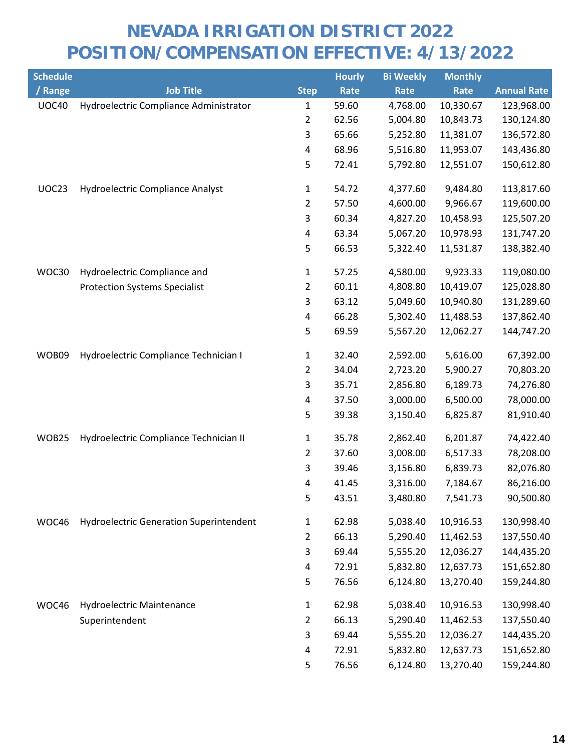| <b>Schedule</b> |                                                |                | <b>Hourly</b> | <b>Bi Weekly</b> | <b>Monthly</b> |                    |
|-----------------|------------------------------------------------|----------------|---------------|------------------|----------------|--------------------|
| / Range         | <b>Job Title</b>                               | <b>Step</b>    | Rate          | Rate             | Rate           | <b>Annual Rate</b> |
| <b>UOC40</b>    | Hydroelectric Compliance Administrator         | $\mathbf{1}$   | 59.60         | 4,768.00         | 10,330.67      | 123,968.00         |
|                 |                                                | 2              | 62.56         | 5,004.80         | 10,843.73      | 130,124.80         |
|                 |                                                | 3              | 65.66         | 5,252.80         | 11,381.07      | 136,572.80         |
|                 |                                                | 4              | 68.96         | 5,516.80         | 11,953.07      | 143,436.80         |
|                 |                                                | 5              | 72.41         | 5,792.80         | 12,551.07      | 150,612.80         |
| UOC23           | <b>Hydroelectric Compliance Analyst</b>        | 1              | 54.72         | 4,377.60         | 9,484.80       | 113,817.60         |
|                 |                                                | 2              | 57.50         | 4,600.00         | 9,966.67       | 119,600.00         |
|                 |                                                | 3              | 60.34         | 4,827.20         | 10,458.93      | 125,507.20         |
|                 |                                                | 4              | 63.34         | 5,067.20         | 10,978.93      | 131,747.20         |
|                 |                                                | 5              | 66.53         | 5,322.40         | 11,531.87      | 138,382.40         |
| WOC30           | Hydroelectric Compliance and                   | 1              | 57.25         | 4,580.00         | 9,923.33       | 119,080.00         |
|                 | <b>Protection Systems Specialist</b>           | 2              | 60.11         | 4,808.80         | 10,419.07      | 125,028.80         |
|                 |                                                | 3              | 63.12         | 5,049.60         | 10,940.80      | 131,289.60         |
|                 |                                                | 4              | 66.28         | 5,302.40         | 11,488.53      | 137,862.40         |
|                 |                                                | 5              | 69.59         | 5,567.20         | 12,062.27      | 144,747.20         |
| WOB09           | Hydroelectric Compliance Technician I          | 1              | 32.40         | 2,592.00         | 5,616.00       | 67,392.00          |
|                 |                                                | 2              | 34.04         | 2,723.20         | 5,900.27       | 70,803.20          |
|                 |                                                | 3              | 35.71         | 2,856.80         | 6,189.73       | 74,276.80          |
|                 |                                                | $\pmb{4}$      | 37.50         | 3,000.00         | 6,500.00       | 78,000.00          |
|                 |                                                | 5              | 39.38         | 3,150.40         | 6,825.87       | 81,910.40          |
| WOB25           | Hydroelectric Compliance Technician II         | 1              | 35.78         | 2,862.40         | 6,201.87       | 74,422.40          |
|                 |                                                | $\overline{2}$ | 37.60         | 3,008.00         | 6,517.33       | 78,208.00          |
|                 |                                                | 3              | 39.46         | 3,156.80         | 6,839.73       | 82,076.80          |
|                 |                                                | 4              | 41.45         | 3,316.00         | 7,184.67       | 86,216.00          |
|                 |                                                | 5              | 43.51         | 3,480.80         | 7,541.73       | 90,500.80          |
| WOC46           | <b>Hydroelectric Generation Superintendent</b> | $\mathbf{1}$   | 62.98         | 5,038.40         | 10,916.53      | 130,998.40         |
|                 |                                                | 2              | 66.13         | 5,290.40         | 11,462.53      | 137,550.40         |
|                 |                                                | 3              | 69.44         | 5,555.20         | 12,036.27      | 144,435.20         |
|                 |                                                | 4              | 72.91         | 5,832.80         | 12,637.73      | 151,652.80         |
|                 |                                                | 5              | 76.56         | 6,124.80         | 13,270.40      | 159,244.80         |
| WOC46           | Hydroelectric Maintenance                      | $\mathbf{1}$   | 62.98         | 5,038.40         | 10,916.53      | 130,998.40         |
|                 | Superintendent                                 | $\overline{2}$ | 66.13         | 5,290.40         | 11,462.53      | 137,550.40         |
|                 |                                                | 3              | 69.44         | 5,555.20         | 12,036.27      | 144,435.20         |
|                 |                                                | 4              | 72.91         | 5,832.80         | 12,637.73      | 151,652.80         |
|                 |                                                | 5              | 76.56         | 6,124.80         | 13,270.40      | 159,244.80         |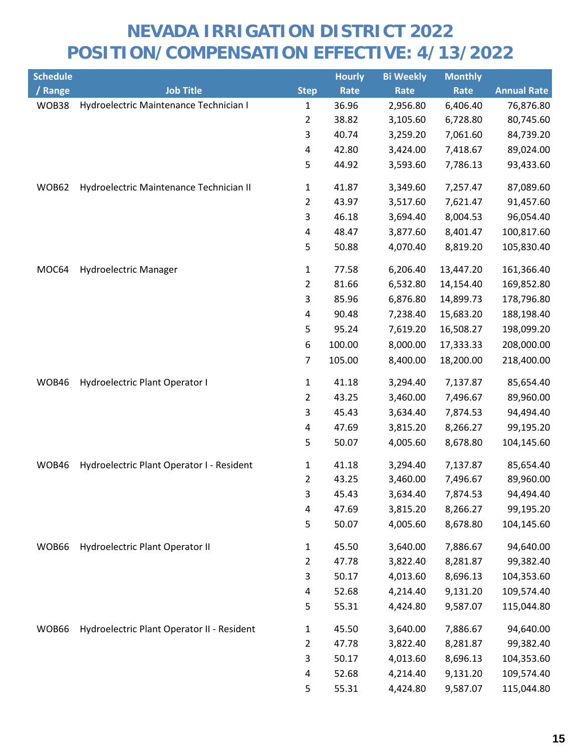| <b>Schedule</b> |                                            |                | <b>Hourly</b> | <b>Bi Weekly</b> | <b>Monthly</b> |                    |
|-----------------|--------------------------------------------|----------------|---------------|------------------|----------------|--------------------|
| / Range         | <b>Job Title</b>                           | <b>Step</b>    | Rate          | Rate             | Rate           | <b>Annual Rate</b> |
| WOB38           | Hydroelectric Maintenance Technician I     | $\mathbf{1}$   | 36.96         | 2,956.80         | 6,406.40       | 76,876.80          |
|                 |                                            | 2              | 38.82         | 3,105.60         | 6,728.80       | 80,745.60          |
|                 |                                            | 3              | 40.74         | 3,259.20         | 7,061.60       | 84,739.20          |
|                 |                                            | 4              | 42.80         | 3,424.00         | 7,418.67       | 89,024.00          |
|                 |                                            | 5              | 44.92         | 3,593.60         | 7,786.13       | 93,433.60          |
| WOB62           | Hydroelectric Maintenance Technician II    | 1              | 41.87         | 3,349.60         | 7,257.47       | 87,089.60          |
|                 |                                            | $\overline{2}$ | 43.97         | 3,517.60         | 7,621.47       | 91,457.60          |
|                 |                                            | 3              | 46.18         | 3,694.40         | 8,004.53       | 96,054.40          |
|                 |                                            | 4              | 48.47         | 3,877.60         | 8,401.47       | 100,817.60         |
|                 |                                            | 5              | 50.88         | 4,070.40         | 8,819.20       | 105,830.40         |
| MOC64           | Hydroelectric Manager                      | 1              | 77.58         | 6,206.40         | 13,447.20      | 161,366.40         |
|                 |                                            | $\overline{2}$ | 81.66         | 6,532.80         | 14,154.40      | 169,852.80         |
|                 |                                            | 3              | 85.96         | 6,876.80         | 14,899.73      | 178,796.80         |
|                 |                                            | 4              | 90.48         | 7,238.40         | 15,683.20      | 188,198.40         |
|                 |                                            | 5              | 95.24         | 7,619.20         | 16,508.27      | 198,099.20         |
|                 |                                            | 6              | 100.00        | 8,000.00         | 17,333.33      | 208,000.00         |
|                 |                                            | $\overline{7}$ | 105.00        | 8,400.00         | 18,200.00      | 218,400.00         |
| WOB46           | Hydroelectric Plant Operator I             | $\mathbf{1}$   | 41.18         | 3,294.40         | 7,137.87       | 85,654.40          |
|                 |                                            | $\overline{2}$ | 43.25         | 3,460.00         | 7,496.67       | 89,960.00          |
|                 |                                            | 3              | 45.43         | 3,634.40         | 7,874.53       | 94,494.40          |
|                 |                                            | 4              | 47.69         | 3,815.20         | 8,266.27       | 99,195.20          |
|                 |                                            | 5              | 50.07         | 4,005.60         | 8,678.80       | 104,145.60         |
| WOB46           | Hydroelectric Plant Operator I - Resident  | $\mathbf{1}$   | 41.18         | 3,294.40         | 7,137.87       | 85,654.40          |
|                 |                                            | $\overline{2}$ | 43.25         | 3,460.00         | 7,496.67       | 89,960.00          |
|                 |                                            | 3              | 45.43         | 3,634.40         | 7,874.53       | 94,494.40          |
|                 |                                            | 4              | 47.69         | 3,815.20         | 8,266.27       | 99,195.20          |
|                 |                                            | 5              | 50.07         | 4,005.60         | 8,678.80       | 104,145.60         |
| WOB66           | Hydroelectric Plant Operator II            | $\mathbf{1}$   | 45.50         | 3,640.00         | 7,886.67       | 94,640.00          |
|                 |                                            | $\overline{2}$ | 47.78         | 3,822.40         | 8,281.87       | 99,382.40          |
|                 |                                            | 3              | 50.17         | 4,013.60         | 8,696.13       | 104,353.60         |
|                 |                                            | 4              | 52.68         | 4,214.40         | 9,131.20       | 109,574.40         |
|                 |                                            | 5              | 55.31         | 4,424.80         | 9,587.07       | 115,044.80         |
| WOB66           | Hydroelectric Plant Operator II - Resident | $\mathbf{1}$   | 45.50         | 3,640.00         | 7,886.67       | 94,640.00          |
|                 |                                            | $\overline{2}$ | 47.78         | 3,822.40         | 8,281.87       | 99,382.40          |
|                 |                                            | 3              | 50.17         | 4,013.60         | 8,696.13       | 104,353.60         |
|                 |                                            | 4              | 52.68         | 4,214.40         | 9,131.20       | 109,574.40         |
|                 |                                            | 5              | 55.31         | 4,424.80         | 9,587.07       | 115,044.80         |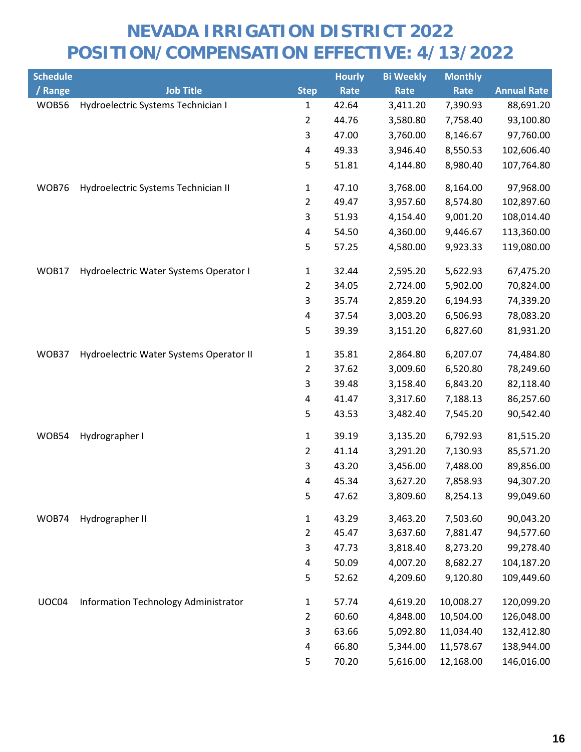| <b>Schedule</b> |                                         |                | <b>Hourly</b> | <b>Bi Weekly</b> | <b>Monthly</b> |                    |
|-----------------|-----------------------------------------|----------------|---------------|------------------|----------------|--------------------|
| / Range         | <b>Job Title</b>                        | <b>Step</b>    | <b>Rate</b>   | Rate             | Rate           | <b>Annual Rate</b> |
| WOB56           | Hydroelectric Systems Technician I      | 1              | 42.64         | 3,411.20         | 7,390.93       | 88,691.20          |
|                 |                                         | 2              | 44.76         | 3,580.80         | 7,758.40       | 93,100.80          |
|                 |                                         | 3              | 47.00         | 3,760.00         | 8,146.67       | 97,760.00          |
|                 |                                         | 4              | 49.33         | 3,946.40         | 8,550.53       | 102,606.40         |
|                 |                                         | 5              | 51.81         | 4,144.80         | 8,980.40       | 107,764.80         |
| WOB76           | Hydroelectric Systems Technician II     | 1              | 47.10         | 3,768.00         | 8,164.00       | 97,968.00          |
|                 |                                         | 2              | 49.47         | 3,957.60         | 8,574.80       | 102,897.60         |
|                 |                                         | 3              | 51.93         | 4,154.40         | 9,001.20       | 108,014.40         |
|                 |                                         | 4              | 54.50         | 4,360.00         | 9,446.67       | 113,360.00         |
|                 |                                         | 5              | 57.25         | 4,580.00         | 9,923.33       | 119,080.00         |
| WOB17           | Hydroelectric Water Systems Operator I  | 1              | 32.44         | 2,595.20         | 5,622.93       | 67,475.20          |
|                 |                                         | 2              | 34.05         | 2,724.00         | 5,902.00       | 70,824.00          |
|                 |                                         | 3              | 35.74         | 2,859.20         | 6,194.93       | 74,339.20          |
|                 |                                         | 4              | 37.54         | 3,003.20         | 6,506.93       | 78,083.20          |
|                 |                                         | 5              | 39.39         | 3,151.20         | 6,827.60       | 81,931.20          |
| WOB37           | Hydroelectric Water Systems Operator II | 1              | 35.81         | 2,864.80         | 6,207.07       | 74,484.80          |
|                 |                                         | $\overline{2}$ | 37.62         | 3,009.60         | 6,520.80       | 78,249.60          |
|                 |                                         | 3              | 39.48         | 3,158.40         | 6,843.20       | 82,118.40          |
|                 |                                         | 4              | 41.47         | 3,317.60         | 7,188.13       | 86,257.60          |
|                 |                                         | 5              | 43.53         | 3,482.40         | 7,545.20       | 90,542.40          |
| WOB54           | Hydrographer I                          | $\mathbf{1}$   | 39.19         | 3,135.20         | 6,792.93       | 81,515.20          |
|                 |                                         | $\overline{2}$ | 41.14         | 3,291.20         | 7,130.93       | 85,571.20          |
|                 |                                         | 3              | 43.20         | 3,456.00         | 7,488.00       | 89,856.00          |
|                 |                                         | 4              | 45.34         | 3,627.20         | 7,858.93       | 94,307.20          |
|                 |                                         | 5              | 47.62         | 3,809.60         | 8,254.13       | 99,049.60          |
| WOB74           | Hydrographer II                         | 1              | 43.29         | 3,463.20         | 7,503.60       | 90,043.20          |
|                 |                                         | 2              | 45.47         | 3,637.60         | 7,881.47       | 94,577.60          |
|                 |                                         | 3              | 47.73         | 3,818.40         | 8,273.20       | 99,278.40          |
|                 |                                         | 4              | 50.09         | 4,007.20         | 8,682.27       | 104,187.20         |
|                 |                                         | 5              | 52.62         | 4,209.60         | 9,120.80       | 109,449.60         |
| UOC04           | Information Technology Administrator    | 1              | 57.74         | 4,619.20         | 10,008.27      | 120,099.20         |
|                 |                                         | 2              | 60.60         | 4,848.00         | 10,504.00      | 126,048.00         |
|                 |                                         | 3              | 63.66         | 5,092.80         | 11,034.40      | 132,412.80         |
|                 |                                         | 4              | 66.80         | 5,344.00         | 11,578.67      | 138,944.00         |
|                 |                                         | 5              | 70.20         | 5,616.00         | 12,168.00      | 146,016.00         |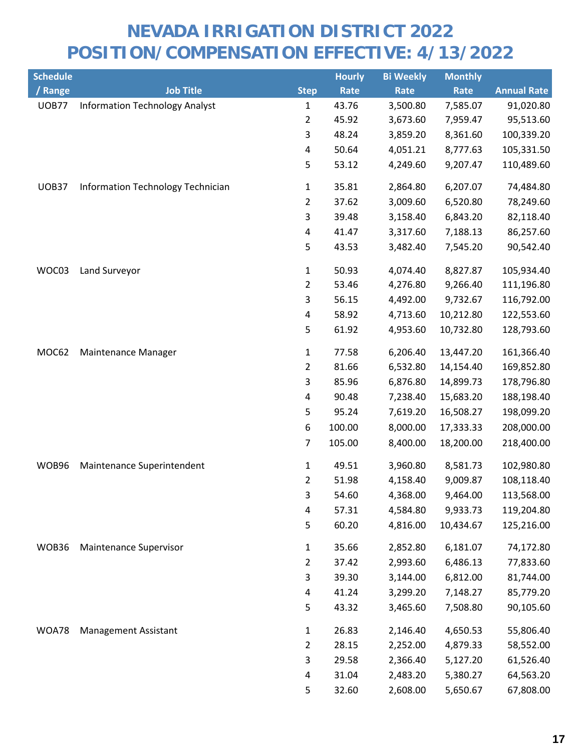| <b>Schedule</b> |                                       |                | <b>Hourly</b> | <b>Bi Weekly</b> | <b>Monthly</b> |                    |
|-----------------|---------------------------------------|----------------|---------------|------------------|----------------|--------------------|
| / Range         | <b>Job Title</b>                      | <b>Step</b>    | Rate          | Rate             | Rate           | <b>Annual Rate</b> |
| <b>UOB77</b>    | <b>Information Technology Analyst</b> | $\mathbf{1}$   | 43.76         | 3,500.80         | 7,585.07       | 91,020.80          |
|                 |                                       | 2              | 45.92         | 3,673.60         | 7,959.47       | 95,513.60          |
|                 |                                       | 3              | 48.24         | 3,859.20         | 8,361.60       | 100,339.20         |
|                 |                                       | 4              | 50.64         | 4,051.21         | 8,777.63       | 105,331.50         |
|                 |                                       | 5              | 53.12         | 4,249.60         | 9,207.47       | 110,489.60         |
| UOB37           | Information Technology Technician     | $\mathbf{1}$   | 35.81         | 2,864.80         | 6,207.07       | 74,484.80          |
|                 |                                       | 2              | 37.62         | 3,009.60         | 6,520.80       | 78,249.60          |
|                 |                                       | 3              | 39.48         | 3,158.40         | 6,843.20       | 82,118.40          |
|                 |                                       | 4              | 41.47         | 3,317.60         | 7,188.13       | 86,257.60          |
|                 |                                       | 5              | 43.53         | 3,482.40         | 7,545.20       | 90,542.40          |
| WOC03           | Land Surveyor                         | 1              | 50.93         | 4,074.40         | 8,827.87       | 105,934.40         |
|                 |                                       | $\overline{2}$ | 53.46         | 4,276.80         | 9,266.40       | 111,196.80         |
|                 |                                       | 3              | 56.15         | 4,492.00         | 9,732.67       | 116,792.00         |
|                 |                                       | 4              | 58.92         | 4,713.60         | 10,212.80      | 122,553.60         |
|                 |                                       | 5              | 61.92         | 4,953.60         | 10,732.80      | 128,793.60         |
| MOC62           | Maintenance Manager                   | $\mathbf{1}$   | 77.58         | 6,206.40         | 13,447.20      | 161,366.40         |
|                 |                                       | $\overline{2}$ | 81.66         | 6,532.80         | 14,154.40      | 169,852.80         |
|                 |                                       | 3              | 85.96         | 6,876.80         | 14,899.73      | 178,796.80         |
|                 |                                       | 4              | 90.48         | 7,238.40         | 15,683.20      | 188,198.40         |
|                 |                                       | 5              | 95.24         | 7,619.20         | 16,508.27      | 198,099.20         |
|                 |                                       | 6              | 100.00        | 8,000.00         | 17,333.33      | 208,000.00         |
|                 |                                       | 7              | 105.00        | 8,400.00         | 18,200.00      | 218,400.00         |
| WOB96           | Maintenance Superintendent            | $\mathbf{1}$   | 49.51         | 3,960.80         | 8,581.73       | 102,980.80         |
|                 |                                       | 2              | 51.98         | 4,158.40         | 9,009.87       | 108,118.40         |
|                 |                                       | 3              | 54.60         | 4,368.00         | 9,464.00       | 113,568.00         |
|                 |                                       | 4              | 57.31         | 4,584.80         | 9,933.73       | 119,204.80         |
|                 |                                       | 5              | 60.20         | 4,816.00         | 10,434.67      | 125,216.00         |
| WOB36           | Maintenance Supervisor                | $\mathbf{1}$   | 35.66         | 2,852.80         | 6,181.07       | 74,172.80          |
|                 |                                       | $\overline{2}$ | 37.42         | 2,993.60         | 6,486.13       | 77,833.60          |
|                 |                                       | 3              | 39.30         | 3,144.00         | 6,812.00       | 81,744.00          |
|                 |                                       | 4              | 41.24         | 3,299.20         | 7,148.27       | 85,779.20          |
|                 |                                       | 5              | 43.32         | 3,465.60         | 7,508.80       | 90,105.60          |
| WOA78           | <b>Management Assistant</b>           | $\mathbf{1}$   | 26.83         | 2,146.40         | 4,650.53       | 55,806.40          |
|                 |                                       | $\overline{2}$ | 28.15         | 2,252.00         | 4,879.33       | 58,552.00          |
|                 |                                       | 3              | 29.58         | 2,366.40         | 5,127.20       | 61,526.40          |
|                 |                                       | 4              | 31.04         | 2,483.20         | 5,380.27       | 64,563.20          |
|                 |                                       | 5              | 32.60         | 2,608.00         | 5,650.67       | 67,808.00          |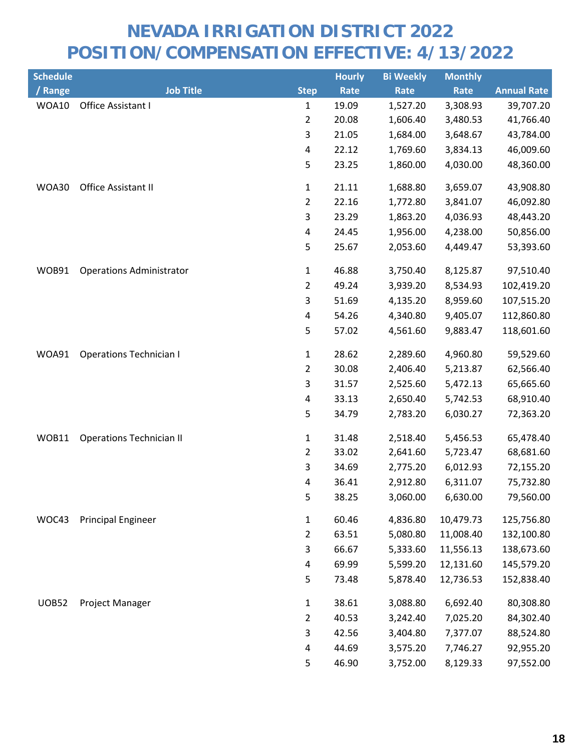| <b>Schedule</b> |                                 |                | <b>Hourly</b> | <b>Bi Weekly</b> | <b>Monthly</b> |                    |
|-----------------|---------------------------------|----------------|---------------|------------------|----------------|--------------------|
| / Range         | <b>Job Title</b>                | <b>Step</b>    | Rate          | Rate             | Rate           | <b>Annual Rate</b> |
| WOA10           | Office Assistant I              | $\mathbf{1}$   | 19.09         | 1,527.20         | 3,308.93       | 39,707.20          |
|                 |                                 | $\overline{2}$ | 20.08         | 1,606.40         | 3,480.53       | 41,766.40          |
|                 |                                 | 3              | 21.05         | 1,684.00         | 3,648.67       | 43,784.00          |
|                 |                                 | 4              | 22.12         | 1,769.60         | 3,834.13       | 46,009.60          |
|                 |                                 | 5              | 23.25         | 1,860.00         | 4,030.00       | 48,360.00          |
| WOA30           | Office Assistant II             | $\mathbf{1}$   | 21.11         | 1,688.80         | 3,659.07       | 43,908.80          |
|                 |                                 | $\overline{2}$ | 22.16         | 1,772.80         | 3,841.07       | 46,092.80          |
|                 |                                 | $\mathsf{3}$   | 23.29         | 1,863.20         | 4,036.93       | 48,443.20          |
|                 |                                 | 4              | 24.45         | 1,956.00         | 4,238.00       | 50,856.00          |
|                 |                                 | 5              | 25.67         | 2,053.60         | 4,449.47       | 53,393.60          |
| WOB91           | <b>Operations Administrator</b> | $\mathbf{1}$   | 46.88         | 3,750.40         | 8,125.87       | 97,510.40          |
|                 |                                 | $\overline{2}$ | 49.24         | 3,939.20         | 8,534.93       | 102,419.20         |
|                 |                                 | 3              | 51.69         | 4,135.20         | 8,959.60       | 107,515.20         |
|                 |                                 | 4              | 54.26         | 4,340.80         | 9,405.07       | 112,860.80         |
|                 |                                 | 5              | 57.02         | 4,561.60         | 9,883.47       | 118,601.60         |
| WOA91           | <b>Operations Technician I</b>  | $\mathbf{1}$   | 28.62         | 2,289.60         | 4,960.80       | 59,529.60          |
|                 |                                 | $\overline{2}$ | 30.08         | 2,406.40         | 5,213.87       | 62,566.40          |
|                 |                                 | 3              | 31.57         | 2,525.60         | 5,472.13       | 65,665.60          |
|                 |                                 | 4              | 33.13         | 2,650.40         | 5,742.53       | 68,910.40          |
|                 |                                 | 5              | 34.79         | 2,783.20         | 6,030.27       | 72,363.20          |
| WOB11           | <b>Operations Technician II</b> | $\mathbf{1}$   | 31.48         | 2,518.40         | 5,456.53       | 65,478.40          |
|                 |                                 | $\overline{2}$ | 33.02         | 2,641.60         | 5,723.47       | 68,681.60          |
|                 |                                 | $\mathsf{3}$   | 34.69         | 2,775.20         | 6,012.93       | 72,155.20          |
|                 |                                 | 4              | 36.41         | 2,912.80         | 6,311.07       | 75,732.80          |
|                 |                                 | 5.             | 38.25         | 3,060.00         | 6,630.00       | 79,560.00          |
| WOC43           | <b>Principal Engineer</b>       | $\mathbf{1}$   | 60.46         | 4,836.80         | 10,479.73      | 125,756.80         |
|                 |                                 | $\overline{2}$ | 63.51         | 5,080.80         | 11,008.40      | 132,100.80         |
|                 |                                 | 3              | 66.67         | 5,333.60         | 11,556.13      | 138,673.60         |
|                 |                                 | 4              | 69.99         | 5,599.20         | 12,131.60      | 145,579.20         |
|                 |                                 | 5              | 73.48         | 5,878.40         | 12,736.53      | 152,838.40         |
| <b>UOB52</b>    | Project Manager                 | $\mathbf{1}$   | 38.61         | 3,088.80         | 6,692.40       | 80,308.80          |
|                 |                                 | $\overline{2}$ | 40.53         | 3,242.40         | 7,025.20       | 84,302.40          |
|                 |                                 | 3              | 42.56         | 3,404.80         | 7,377.07       | 88,524.80          |
|                 |                                 | 4              | 44.69         | 3,575.20         | 7,746.27       | 92,955.20          |
|                 |                                 | 5              | 46.90         | 3,752.00         | 8,129.33       | 97,552.00          |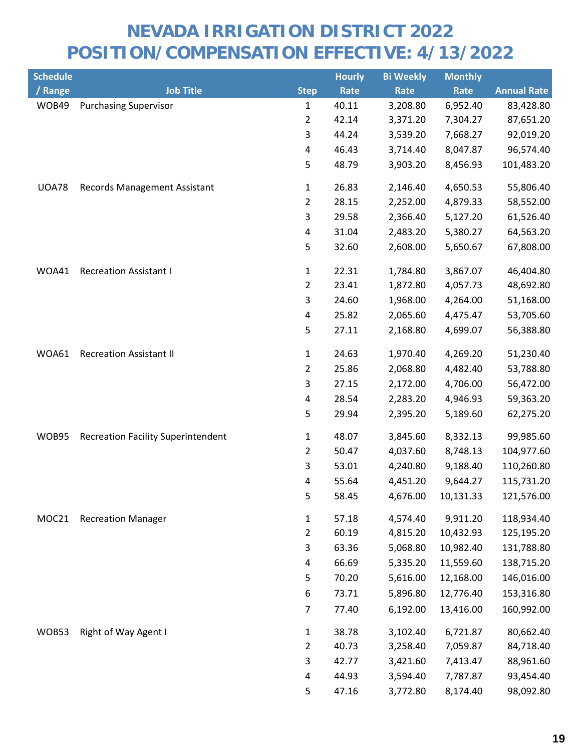| <b>Schedule</b> |                                           |                           | <b>Hourly</b> | <b>Bi Weekly</b> | <b>Monthly</b> |                    |
|-----------------|-------------------------------------------|---------------------------|---------------|------------------|----------------|--------------------|
| / Range         | <b>Job Title</b>                          | <b>Step</b>               | Rate          | Rate             | Rate           | <b>Annual Rate</b> |
| WOB49           | <b>Purchasing Supervisor</b>              | $\mathbf 1$               | 40.11         | 3,208.80         | 6,952.40       | 83,428.80          |
|                 |                                           | $\overline{2}$            | 42.14         | 3,371.20         | 7,304.27       | 87,651.20          |
|                 |                                           | 3                         | 44.24         | 3,539.20         | 7,668.27       | 92,019.20          |
|                 |                                           | 4                         | 46.43         | 3,714.40         | 8,047.87       | 96,574.40          |
|                 |                                           | 5                         | 48.79         | 3,903.20         | 8,456.93       | 101,483.20         |
| <b>UOA78</b>    | <b>Records Management Assistant</b>       | 1                         | 26.83         | 2,146.40         | 4,650.53       | 55,806.40          |
|                 |                                           | $\overline{2}$            | 28.15         | 2,252.00         | 4,879.33       | 58,552.00          |
|                 |                                           | $\ensuremath{\mathsf{3}}$ | 29.58         | 2,366.40         | 5,127.20       | 61,526.40          |
|                 |                                           | 4                         | 31.04         | 2,483.20         | 5,380.27       | 64,563.20          |
|                 |                                           | 5                         | 32.60         | 2,608.00         | 5,650.67       | 67,808.00          |
| WOA41           | <b>Recreation Assistant I</b>             | 1                         | 22.31         | 1,784.80         | 3,867.07       | 46,404.80          |
|                 |                                           | $\overline{2}$            | 23.41         | 1,872.80         | 4,057.73       | 48,692.80          |
|                 |                                           | 3                         | 24.60         | 1,968.00         | 4,264.00       | 51,168.00          |
|                 |                                           | 4                         | 25.82         | 2,065.60         | 4,475.47       | 53,705.60          |
|                 |                                           | 5                         | 27.11         | 2,168.80         | 4,699.07       | 56,388.80          |
| WOA61           | <b>Recreation Assistant II</b>            | 1                         | 24.63         | 1,970.40         | 4,269.20       | 51,230.40          |
|                 |                                           | $\overline{2}$            | 25.86         | 2,068.80         | 4,482.40       | 53,788.80          |
|                 |                                           | 3                         | 27.15         | 2,172.00         | 4,706.00       | 56,472.00          |
|                 |                                           | $\pmb{4}$                 | 28.54         | 2,283.20         | 4,946.93       | 59,363.20          |
|                 |                                           | 5                         | 29.94         | 2,395.20         | 5,189.60       | 62,275.20          |
| WOB95           | <b>Recreation Facility Superintendent</b> | 1                         | 48.07         | 3,845.60         | 8,332.13       | 99,985.60          |
|                 |                                           | $\overline{2}$            | 50.47         | 4,037.60         | 8,748.13       | 104,977.60         |
|                 |                                           | 3                         | 53.01         | 4,240.80         | 9,188.40       | 110,260.80         |
|                 |                                           | 4                         | 55.64         | 4,451.20         | 9,644.27       | 115,731.20         |
|                 |                                           | 5                         | 58.45         | 4,676.00         | 10,131.33      | 121,576.00         |
| MOC21           | <b>Recreation Manager</b>                 | $\mathbf 1$               | 57.18         | 4,574.40         | 9,911.20       | 118,934.40         |
|                 |                                           | $\overline{2}$            | 60.19         | 4,815.20         | 10,432.93      | 125,195.20         |
|                 |                                           | 3                         | 63.36         | 5,068.80         | 10,982.40      | 131,788.80         |
|                 |                                           | 4                         | 66.69         | 5,335.20         | 11,559.60      | 138,715.20         |
|                 |                                           | 5                         | 70.20         | 5,616.00         | 12,168.00      | 146,016.00         |
|                 |                                           | 6                         | 73.71         | 5,896.80         | 12,776.40      | 153,316.80         |
|                 |                                           | $\overline{7}$            | 77.40         | 6,192.00         | 13,416.00      | 160,992.00         |
| WOB53           | Right of Way Agent I                      | $\mathbf 1$               | 38.78         | 3,102.40         | 6,721.87       | 80,662.40          |
|                 |                                           | $\overline{2}$            | 40.73         | 3,258.40         | 7,059.87       | 84,718.40          |
|                 |                                           | 3                         | 42.77         | 3,421.60         | 7,413.47       | 88,961.60          |
|                 |                                           | 4                         | 44.93         | 3,594.40         | 7,787.87       | 93,454.40          |
|                 |                                           | 5                         | 47.16         | 3,772.80         | 8,174.40       | 98,092.80          |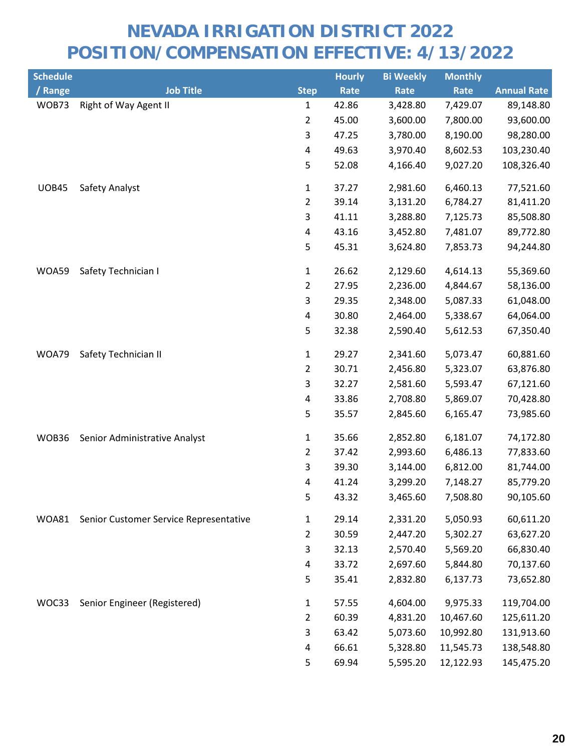| <b>Schedule</b> |                                        |                         | <b>Hourly</b> | <b>Bi Weekly</b> | <b>Monthly</b> |                    |
|-----------------|----------------------------------------|-------------------------|---------------|------------------|----------------|--------------------|
| / Range         | <b>Job Title</b>                       | <b>Step</b>             | Rate          | Rate             | Rate           | <b>Annual Rate</b> |
| WOB73           | Right of Way Agent II                  | $\mathbf{1}$            | 42.86         | 3,428.80         | 7,429.07       | 89,148.80          |
|                 |                                        | $\overline{2}$          | 45.00         | 3,600.00         | 7,800.00       | 93,600.00          |
|                 |                                        | 3                       | 47.25         | 3,780.00         | 8,190.00       | 98,280.00          |
|                 |                                        | $\pmb{4}$               | 49.63         | 3,970.40         | 8,602.53       | 103,230.40         |
|                 |                                        | 5                       | 52.08         | 4,166.40         | 9,027.20       | 108,326.40         |
| <b>UOB45</b>    | Safety Analyst                         | $\mathbf{1}$            | 37.27         | 2,981.60         | 6,460.13       | 77,521.60          |
|                 |                                        | $\overline{2}$          | 39.14         | 3,131.20         | 6,784.27       | 81,411.20          |
|                 |                                        | 3                       | 41.11         | 3,288.80         | 7,125.73       | 85,508.80          |
|                 |                                        | $\overline{\mathbf{4}}$ | 43.16         | 3,452.80         | 7,481.07       | 89,772.80          |
|                 |                                        | 5                       | 45.31         | 3,624.80         | 7,853.73       | 94,244.80          |
| WOA59           | Safety Technician I                    | $\mathbf{1}$            | 26.62         | 2,129.60         | 4,614.13       | 55,369.60          |
|                 |                                        | $\overline{2}$          | 27.95         | 2,236.00         | 4,844.67       | 58,136.00          |
|                 |                                        | 3                       | 29.35         | 2,348.00         | 5,087.33       | 61,048.00          |
|                 |                                        | 4                       | 30.80         | 2,464.00         | 5,338.67       | 64,064.00          |
|                 |                                        | 5                       | 32.38         | 2,590.40         | 5,612.53       | 67,350.40          |
| WOA79           | Safety Technician II                   | $\mathbf{1}$            | 29.27         | 2,341.60         | 5,073.47       | 60,881.60          |
|                 |                                        | $\overline{2}$          | 30.71         | 2,456.80         | 5,323.07       | 63,876.80          |
|                 |                                        | 3                       | 32.27         | 2,581.60         | 5,593.47       | 67,121.60          |
|                 |                                        | 4                       | 33.86         | 2,708.80         | 5,869.07       | 70,428.80          |
|                 |                                        | 5                       | 35.57         | 2,845.60         | 6,165.47       | 73,985.60          |
| WOB36           | Senior Administrative Analyst          | $\mathbf{1}$            | 35.66         | 2,852.80         | 6,181.07       | 74,172.80          |
|                 |                                        | $\overline{2}$          | 37.42         | 2,993.60         | 6,486.13       | 77,833.60          |
|                 |                                        | 3                       | 39.30         | 3,144.00         | 6,812.00       | 81,744.00          |
|                 |                                        | 4                       | 41.24         | 3,299.20         | 7,148.27       | 85,779.20          |
|                 |                                        | 5                       | 43.32         | 3,465.60         | 7,508.80       | 90,105.60          |
| WOA81           | Senior Customer Service Representative | 1                       | 29.14         | 2,331.20         | 5,050.93       | 60,611.20          |
|                 |                                        | $\overline{2}$          | 30.59         | 2,447.20         | 5,302.27       | 63,627.20          |
|                 |                                        | 3                       | 32.13         | 2,570.40         | 5,569.20       | 66,830.40          |
|                 |                                        | 4                       | 33.72         | 2,697.60         | 5,844.80       | 70,137.60          |
|                 |                                        | 5                       | 35.41         | 2,832.80         | 6,137.73       | 73,652.80          |
| WOC33           | Senior Engineer (Registered)           | $\mathbf{1}$            | 57.55         | 4,604.00         | 9,975.33       | 119,704.00         |
|                 |                                        | $\overline{2}$          | 60.39         | 4,831.20         | 10,467.60      | 125,611.20         |
|                 |                                        | 3                       | 63.42         | 5,073.60         | 10,992.80      | 131,913.60         |
|                 |                                        | 4                       | 66.61         | 5,328.80         | 11,545.73      | 138,548.80         |
|                 |                                        | 5                       | 69.94         | 5,595.20         | 12,122.93      | 145,475.20         |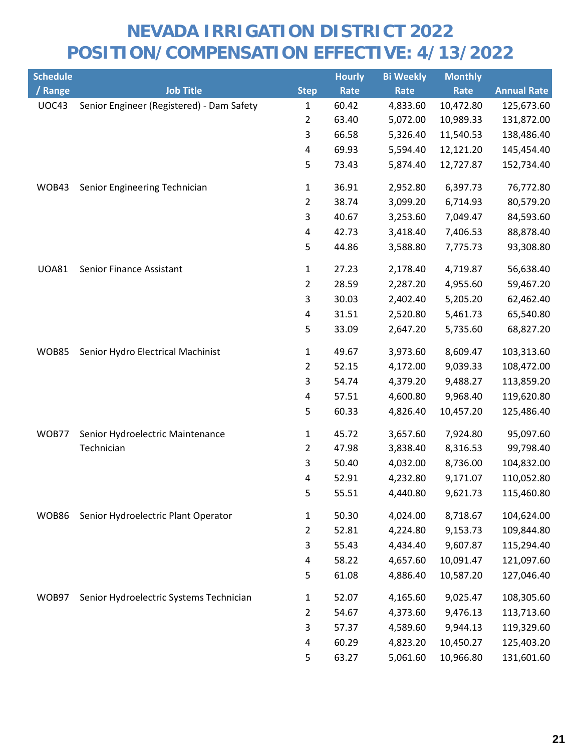| <b>Schedule</b> |                                           |                | <b>Hourly</b> | <b>Bi Weekly</b> | <b>Monthly</b> |                    |
|-----------------|-------------------------------------------|----------------|---------------|------------------|----------------|--------------------|
| / Range         | Job Title                                 | <b>Step</b>    | Rate          | Rate             | Rate           | <b>Annual Rate</b> |
| <b>UOC43</b>    | Senior Engineer (Registered) - Dam Safety | 1              | 60.42         | 4,833.60         | 10,472.80      | 125,673.60         |
|                 |                                           | 2              | 63.40         | 5,072.00         | 10,989.33      | 131,872.00         |
|                 |                                           | 3              | 66.58         | 5,326.40         | 11,540.53      | 138,486.40         |
|                 |                                           | 4              | 69.93         | 5,594.40         | 12,121.20      | 145,454.40         |
|                 |                                           | 5              | 73.43         | 5,874.40         | 12,727.87      | 152,734.40         |
| WOB43           | Senior Engineering Technician             | $\mathbf{1}$   | 36.91         | 2,952.80         | 6,397.73       | 76,772.80          |
|                 |                                           | $\overline{2}$ | 38.74         | 3,099.20         | 6,714.93       | 80,579.20          |
|                 |                                           | 3              | 40.67         | 3,253.60         | 7,049.47       | 84,593.60          |
|                 |                                           | 4              | 42.73         | 3,418.40         | 7,406.53       | 88,878.40          |
|                 |                                           | 5              | 44.86         | 3,588.80         | 7,775.73       | 93,308.80          |
| <b>UOA81</b>    | Senior Finance Assistant                  | 1              | 27.23         | 2,178.40         | 4,719.87       | 56,638.40          |
|                 |                                           | $\overline{2}$ | 28.59         | 2,287.20         | 4,955.60       | 59,467.20          |
|                 |                                           | 3              | 30.03         | 2,402.40         | 5,205.20       | 62,462.40          |
|                 |                                           | 4              | 31.51         | 2,520.80         | 5,461.73       | 65,540.80          |
|                 |                                           | 5              | 33.09         | 2,647.20         | 5,735.60       | 68,827.20          |
| <b>WOB85</b>    | Senior Hydro Electrical Machinist         | $\mathbf{1}$   | 49.67         | 3,973.60         | 8,609.47       | 103,313.60         |
|                 |                                           | 2              | 52.15         | 4,172.00         | 9,039.33       | 108,472.00         |
|                 |                                           | 3              | 54.74         | 4,379.20         | 9,488.27       | 113,859.20         |
|                 |                                           | 4              | 57.51         | 4,600.80         | 9,968.40       | 119,620.80         |
|                 |                                           | 5              | 60.33         | 4,826.40         | 10,457.20      | 125,486.40         |
| WOB77           | Senior Hydroelectric Maintenance          | $\mathbf{1}$   | 45.72         | 3,657.60         | 7,924.80       | 95,097.60          |
|                 | Technician                                | 2              | 47.98         | 3,838.40         | 8,316.53       | 99,798.40          |
|                 |                                           | 3              | 50.40         | 4,032.00         | 8,736.00       | 104,832.00         |
|                 |                                           | 4              | 52.91         | 4,232.80         | 9,171.07       | 110,052.80         |
|                 |                                           | 5              | 55.51         | 4,440.80         | 9,621.73       | 115,460.80         |
| WOB86           | Senior Hydroelectric Plant Operator       | $\mathbf{1}$   | 50.30         | 4,024.00         | 8,718.67       | 104,624.00         |
|                 |                                           | 2              | 52.81         | 4,224.80         | 9,153.73       | 109,844.80         |
|                 |                                           | 3              | 55.43         | 4,434.40         | 9,607.87       | 115,294.40         |
|                 |                                           | 4              | 58.22         | 4,657.60         | 10,091.47      | 121,097.60         |
|                 |                                           | 5              | 61.08         | 4,886.40         | 10,587.20      | 127,046.40         |
| WOB97           | Senior Hydroelectric Systems Technician   | $\mathbf{1}$   | 52.07         | 4,165.60         | 9,025.47       | 108,305.60         |
|                 |                                           | 2              | 54.67         | 4,373.60         | 9,476.13       | 113,713.60         |
|                 |                                           | 3              | 57.37         | 4,589.60         | 9,944.13       | 119,329.60         |
|                 |                                           | 4              | 60.29         | 4,823.20         | 10,450.27      | 125,403.20         |
|                 |                                           | 5              | 63.27         | 5,061.60         | 10,966.80      | 131,601.60         |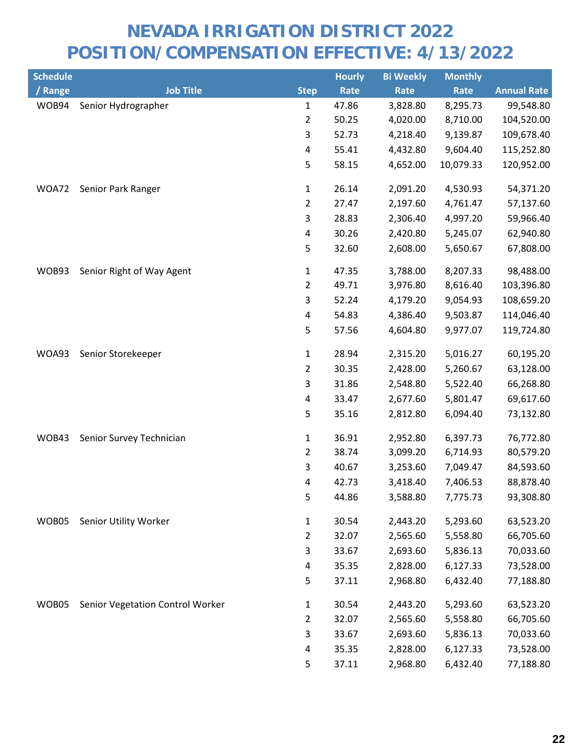| <b>Schedule</b> |                                  |                | <b>Hourly</b> | <b>Bi Weekly</b> | <b>Monthly</b> |                    |
|-----------------|----------------------------------|----------------|---------------|------------------|----------------|--------------------|
| / Range         | <b>Job Title</b>                 | <b>Step</b>    | Rate          | Rate             | Rate           | <b>Annual Rate</b> |
| WOB94           | Senior Hydrographer              | $\mathbf{1}$   | 47.86         | 3,828.80         | 8,295.73       | 99,548.80          |
|                 |                                  | $\overline{2}$ | 50.25         | 4,020.00         | 8,710.00       | 104,520.00         |
|                 |                                  | 3              | 52.73         | 4,218.40         | 9,139.87       | 109,678.40         |
|                 |                                  | 4              | 55.41         | 4,432.80         | 9,604.40       | 115,252.80         |
|                 |                                  | 5              | 58.15         | 4,652.00         | 10,079.33      | 120,952.00         |
| WOA72           | Senior Park Ranger               | $\mathbf{1}$   | 26.14         | 2,091.20         | 4,530.93       | 54,371.20          |
|                 |                                  | $\overline{2}$ | 27.47         | 2,197.60         | 4,761.47       | 57,137.60          |
|                 |                                  | 3              | 28.83         | 2,306.40         | 4,997.20       | 59,966.40          |
|                 |                                  | 4              | 30.26         | 2,420.80         | 5,245.07       | 62,940.80          |
|                 |                                  | 5              | 32.60         | 2,608.00         | 5,650.67       | 67,808.00          |
| WOB93           | Senior Right of Way Agent        | $\mathbf{1}$   | 47.35         | 3,788.00         | 8,207.33       | 98,488.00          |
|                 |                                  | $\overline{2}$ | 49.71         | 3,976.80         | 8,616.40       | 103,396.80         |
|                 |                                  | 3              | 52.24         | 4,179.20         | 9,054.93       | 108,659.20         |
|                 |                                  | 4              | 54.83         | 4,386.40         | 9,503.87       | 114,046.40         |
|                 |                                  | 5              | 57.56         | 4,604.80         | 9,977.07       | 119,724.80         |
| WOA93           | Senior Storekeeper               | $\mathbf{1}$   | 28.94         | 2,315.20         | 5,016.27       | 60,195.20          |
|                 |                                  | $\overline{2}$ | 30.35         | 2,428.00         | 5,260.67       | 63,128.00          |
|                 |                                  | 3              | 31.86         | 2,548.80         | 5,522.40       | 66,268.80          |
|                 |                                  | $\overline{a}$ | 33.47         | 2,677.60         | 5,801.47       | 69,617.60          |
|                 |                                  | 5              | 35.16         | 2,812.80         | 6,094.40       | 73,132.80          |
| WOB43           | Senior Survey Technician         | $\mathbf{1}$   | 36.91         | 2,952.80         | 6,397.73       | 76,772.80          |
|                 |                                  | $\overline{2}$ | 38.74         | 3,099.20         | 6,714.93       | 80,579.20          |
|                 |                                  | 3              | 40.67         | 3,253.60         | 7,049.47       | 84,593.60          |
|                 |                                  | 4              | 42.73         | 3,418.40         | 7,406.53       | 88,878.40          |
|                 |                                  | 5              | 44.86         | 3,588.80         | 7,775.73       | 93,308.80          |
| WOB05           | Senior Utility Worker            | $\mathbf{1}$   | 30.54         | 2,443.20         | 5,293.60       | 63,523.20          |
|                 |                                  | $\overline{2}$ | 32.07         | 2,565.60         | 5,558.80       | 66,705.60          |
|                 |                                  | 3              | 33.67         | 2,693.60         | 5,836.13       | 70,033.60          |
|                 |                                  | 4              | 35.35         | 2,828.00         | 6,127.33       | 73,528.00          |
|                 |                                  | 5              | 37.11         | 2,968.80         | 6,432.40       | 77,188.80          |
| WOB05           | Senior Vegetation Control Worker | $\mathbf{1}$   | 30.54         | 2,443.20         | 5,293.60       | 63,523.20          |
|                 |                                  | $\overline{2}$ | 32.07         | 2,565.60         | 5,558.80       | 66,705.60          |
|                 |                                  | 3              | 33.67         | 2,693.60         | 5,836.13       | 70,033.60          |
|                 |                                  | 4              | 35.35         | 2,828.00         | 6,127.33       | 73,528.00          |
|                 |                                  | 5              | 37.11         | 2,968.80         | 6,432.40       | 77,188.80          |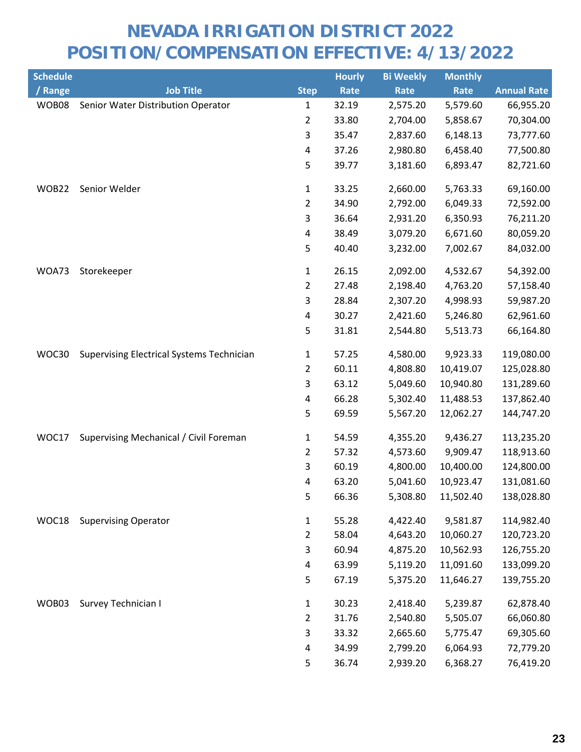| <b>Schedule</b> |                                                  |                         | <b>Hourly</b> | <b>Bi Weekly</b> | <b>Monthly</b> |                    |
|-----------------|--------------------------------------------------|-------------------------|---------------|------------------|----------------|--------------------|
| / Range         | <b>Job Title</b>                                 | <b>Step</b>             | Rate          | Rate             | Rate           | <b>Annual Rate</b> |
| WOB08           | Senior Water Distribution Operator               | 1                       | 32.19         | 2,575.20         | 5,579.60       | 66,955.20          |
|                 |                                                  | 2                       | 33.80         | 2,704.00         | 5,858.67       | 70,304.00          |
|                 |                                                  | 3                       | 35.47         | 2,837.60         | 6,148.13       | 73,777.60          |
|                 |                                                  | 4                       | 37.26         | 2,980.80         | 6,458.40       | 77,500.80          |
|                 |                                                  | 5                       | 39.77         | 3,181.60         | 6,893.47       | 82,721.60          |
| WOB22           | Senior Welder                                    | 1                       | 33.25         | 2,660.00         | 5,763.33       | 69,160.00          |
|                 |                                                  | $\overline{2}$          | 34.90         | 2,792.00         | 6,049.33       | 72,592.00          |
|                 |                                                  | 3                       | 36.64         | 2,931.20         | 6,350.93       | 76,211.20          |
|                 |                                                  | 4                       | 38.49         | 3,079.20         | 6,671.60       | 80,059.20          |
|                 |                                                  | 5                       | 40.40         | 3,232.00         | 7,002.67       | 84,032.00          |
| WOA73           | Storekeeper                                      | 1                       | 26.15         | 2,092.00         | 4,532.67       | 54,392.00          |
|                 |                                                  | $\overline{2}$          | 27.48         | 2,198.40         | 4,763.20       | 57,158.40          |
|                 |                                                  | 3                       | 28.84         | 2,307.20         | 4,998.93       | 59,987.20          |
|                 |                                                  | 4                       | 30.27         | 2,421.60         | 5,246.80       | 62,961.60          |
|                 |                                                  | 5                       | 31.81         | 2,544.80         | 5,513.73       | 66,164.80          |
| WOC30           | <b>Supervising Electrical Systems Technician</b> | 1                       | 57.25         | 4,580.00         | 9,923.33       | 119,080.00         |
|                 |                                                  | $\overline{2}$          | 60.11         | 4,808.80         | 10,419.07      | 125,028.80         |
|                 |                                                  | 3                       | 63.12         | 5,049.60         | 10,940.80      | 131,289.60         |
|                 |                                                  | $\overline{\mathbf{4}}$ | 66.28         | 5,302.40         | 11,488.53      | 137,862.40         |
|                 |                                                  | 5                       | 69.59         | 5,567.20         | 12,062.27      | 144,747.20         |
| WOC17           | Supervising Mechanical / Civil Foreman           | $\mathbf{1}$            | 54.59         | 4,355.20         | 9,436.27       | 113,235.20         |
|                 |                                                  | $\overline{2}$          | 57.32         | 4,573.60         | 9,909.47       | 118,913.60         |
|                 |                                                  | 3                       | 60.19         | 4,800.00         | 10,400.00      | 124,800.00         |
|                 |                                                  | 4                       | 63.20         | 5,041.60         | 10,923.47      | 131,081.60         |
|                 |                                                  | 5                       | 66.36         | 5,308.80         | 11,502.40      | 138,028.80         |
| WOC18           | <b>Supervising Operator</b>                      | $\mathbf{1}$            | 55.28         | 4,422.40         | 9,581.87       | 114,982.40         |
|                 |                                                  | $\overline{2}$          | 58.04         | 4,643.20         | 10,060.27      | 120,723.20         |
|                 |                                                  | 3                       | 60.94         | 4,875.20         | 10,562.93      | 126,755.20         |
|                 |                                                  | 4                       | 63.99         | 5,119.20         | 11,091.60      | 133,099.20         |
|                 |                                                  | 5                       | 67.19         | 5,375.20         | 11,646.27      | 139,755.20         |
| WOB03           | Survey Technician I                              | $\mathbf{1}$            | 30.23         | 2,418.40         | 5,239.87       | 62,878.40          |
|                 |                                                  | $\overline{2}$          | 31.76         | 2,540.80         | 5,505.07       | 66,060.80          |
|                 |                                                  | 3                       | 33.32         | 2,665.60         | 5,775.47       | 69,305.60          |
|                 |                                                  | 4                       | 34.99         | 2,799.20         | 6,064.93       | 72,779.20          |
|                 |                                                  | 5                       | 36.74         | 2,939.20         | 6,368.27       | 76,419.20          |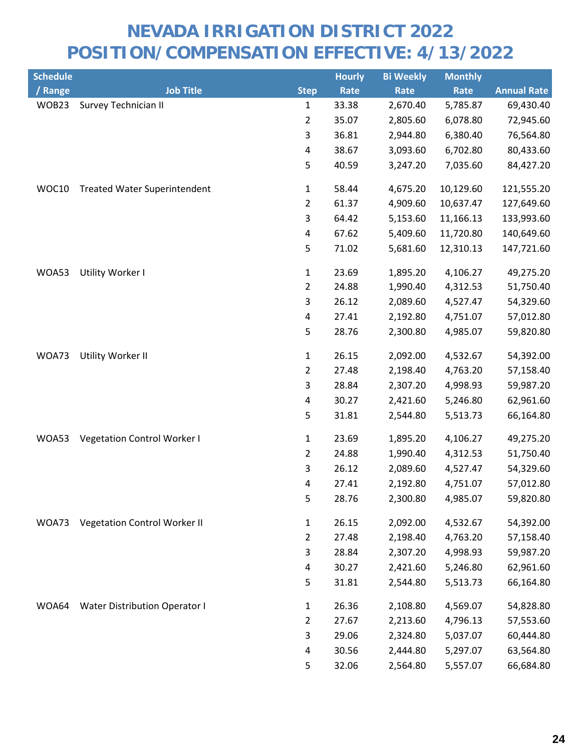| <b>Schedule</b> |                                      |                | <b>Hourly</b> | <b>Bi Weekly</b> | <b>Monthly</b> |                    |
|-----------------|--------------------------------------|----------------|---------------|------------------|----------------|--------------------|
| / Range         | <b>Job Title</b>                     | <b>Step</b>    | Rate          | Rate             | Rate           | <b>Annual Rate</b> |
| WOB23           | Survey Technician II                 | 1              | 33.38         | 2,670.40         | 5,785.87       | 69,430.40          |
|                 |                                      | $\overline{2}$ | 35.07         | 2,805.60         | 6,078.80       | 72,945.60          |
|                 |                                      | 3              | 36.81         | 2,944.80         | 6,380.40       | 76,564.80          |
|                 |                                      | 4              | 38.67         | 3,093.60         | 6,702.80       | 80,433.60          |
|                 |                                      | 5              | 40.59         | 3,247.20         | 7,035.60       | 84,427.20          |
| WOC10           | <b>Treated Water Superintendent</b>  | 1              | 58.44         | 4,675.20         | 10,129.60      | 121,555.20         |
|                 |                                      | $\overline{2}$ | 61.37         | 4,909.60         | 10,637.47      | 127,649.60         |
|                 |                                      | 3              | 64.42         | 5,153.60         | 11,166.13      | 133,993.60         |
|                 |                                      | 4              | 67.62         | 5,409.60         | 11,720.80      | 140,649.60         |
|                 |                                      | 5              | 71.02         | 5,681.60         | 12,310.13      | 147,721.60         |
| WOA53           | Utility Worker I                     | $\mathbf{1}$   | 23.69         | 1,895.20         | 4,106.27       | 49,275.20          |
|                 |                                      | $\overline{2}$ | 24.88         | 1,990.40         | 4,312.53       | 51,750.40          |
|                 |                                      | 3              | 26.12         | 2,089.60         | 4,527.47       | 54,329.60          |
|                 |                                      | $\pmb{4}$      | 27.41         | 2,192.80         | 4,751.07       | 57,012.80          |
|                 |                                      | 5              | 28.76         | 2,300.80         | 4,985.07       | 59,820.80          |
| WOA73           | Utility Worker II                    | $\mathbf{1}$   | 26.15         | 2,092.00         | 4,532.67       | 54,392.00          |
|                 |                                      | $\overline{2}$ | 27.48         | 2,198.40         | 4,763.20       | 57,158.40          |
|                 |                                      | 3              | 28.84         | 2,307.20         | 4,998.93       | 59,987.20          |
|                 |                                      | 4              | 30.27         | 2,421.60         | 5,246.80       | 62,961.60          |
|                 |                                      | 5              | 31.81         | 2,544.80         | 5,513.73       | 66,164.80          |
| WOA53           | <b>Vegetation Control Worker I</b>   | $\mathbf{1}$   | 23.69         | 1,895.20         | 4,106.27       | 49,275.20          |
|                 |                                      | $\overline{2}$ | 24.88         | 1,990.40         | 4,312.53       | 51,750.40          |
|                 |                                      | 3              | 26.12         | 2,089.60         | 4,527.47       | 54,329.60          |
|                 |                                      | 4              | 27.41         | 2,192.80         | 4,751.07       | 57,012.80          |
|                 |                                      | 5              | 28.76         | 2,300.80         | 4,985.07       | 59,820.80          |
| WOA73           | <b>Vegetation Control Worker II</b>  | $\mathbf{1}$   | 26.15         | 2,092.00         | 4,532.67       | 54,392.00          |
|                 |                                      | $\overline{2}$ | 27.48         | 2,198.40         | 4,763.20       | 57,158.40          |
|                 |                                      | 3              | 28.84         | 2,307.20         | 4,998.93       | 59,987.20          |
|                 |                                      | 4              | 30.27         | 2,421.60         | 5,246.80       | 62,961.60          |
|                 |                                      | 5              | 31.81         | 2,544.80         | 5,513.73       | 66,164.80          |
| WOA64           | <b>Water Distribution Operator I</b> | $\mathbf{1}$   | 26.36         | 2,108.80         | 4,569.07       | 54,828.80          |
|                 |                                      | 2              | 27.67         | 2,213.60         | 4,796.13       | 57,553.60          |
|                 |                                      | 3              | 29.06         | 2,324.80         | 5,037.07       | 60,444.80          |
|                 |                                      | 4              | 30.56         | 2,444.80         | 5,297.07       | 63,564.80          |
|                 |                                      | 5              | 32.06         | 2,564.80         | 5,557.07       | 66,684.80          |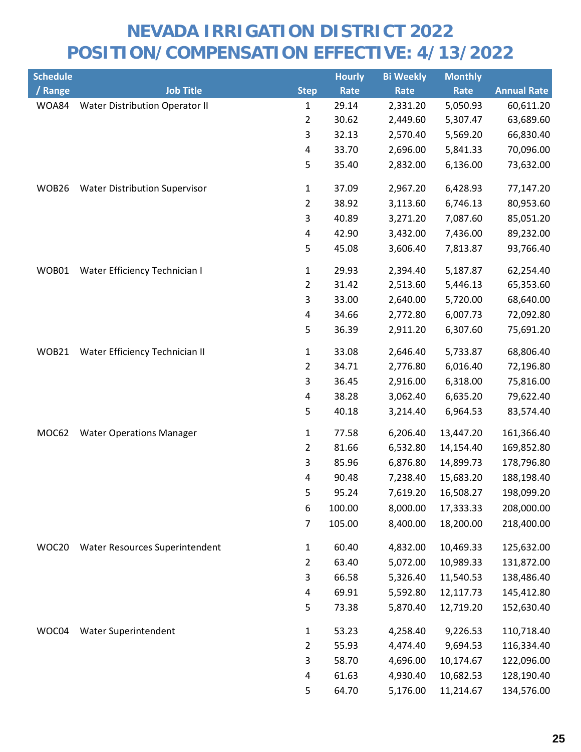| <b>Schedule</b> |                                      |                | <b>Hourly</b> | <b>Bi Weekly</b> | <b>Monthly</b> |                    |
|-----------------|--------------------------------------|----------------|---------------|------------------|----------------|--------------------|
| / Range         | <b>Job Title</b>                     | <b>Step</b>    | Rate          | Rate             | Rate           | <b>Annual Rate</b> |
| WOA84           | Water Distribution Operator II       | $\mathbf{1}$   | 29.14         | 2,331.20         | 5,050.93       | 60,611.20          |
|                 |                                      | $\overline{2}$ | 30.62         | 2,449.60         | 5,307.47       | 63,689.60          |
|                 |                                      | 3              | 32.13         | 2,570.40         | 5,569.20       | 66,830.40          |
|                 |                                      | 4              | 33.70         | 2,696.00         | 5,841.33       | 70,096.00          |
|                 |                                      | 5              | 35.40         | 2,832.00         | 6,136.00       | 73,632.00          |
| WOB26           | <b>Water Distribution Supervisor</b> | 1              | 37.09         | 2,967.20         | 6,428.93       | 77,147.20          |
|                 |                                      | $\overline{2}$ | 38.92         | 3,113.60         | 6,746.13       | 80,953.60          |
|                 |                                      | 3              | 40.89         | 3,271.20         | 7,087.60       | 85,051.20          |
|                 |                                      | 4              | 42.90         | 3,432.00         | 7,436.00       | 89,232.00          |
|                 |                                      | 5              | 45.08         | 3,606.40         | 7,813.87       | 93,766.40          |
| WOB01           | Water Efficiency Technician I        | 1              | 29.93         | 2,394.40         | 5,187.87       | 62,254.40          |
|                 |                                      | $\overline{2}$ | 31.42         | 2,513.60         | 5,446.13       | 65,353.60          |
|                 |                                      | 3              | 33.00         | 2,640.00         | 5,720.00       | 68,640.00          |
|                 |                                      | 4              | 34.66         | 2,772.80         | 6,007.73       | 72,092.80          |
|                 |                                      | 5              | 36.39         | 2,911.20         | 6,307.60       | 75,691.20          |
| WOB21           | Water Efficiency Technician II       | 1              | 33.08         | 2,646.40         | 5,733.87       | 68,806.40          |
|                 |                                      | $\overline{2}$ | 34.71         | 2,776.80         | 6,016.40       | 72,196.80          |
|                 |                                      | 3              | 36.45         | 2,916.00         | 6,318.00       | 75,816.00          |
|                 |                                      | 4              | 38.28         | 3,062.40         | 6,635.20       | 79,622.40          |
|                 |                                      | 5              | 40.18         | 3,214.40         | 6,964.53       | 83,574.40          |
| MOC62           | <b>Water Operations Manager</b>      | 1              | 77.58         | 6,206.40         | 13,447.20      | 161,366.40         |
|                 |                                      | $\overline{2}$ | 81.66         | 6,532.80         | 14,154.40      | 169,852.80         |
|                 |                                      | 3              | 85.96         | 6,876.80         | 14,899.73      | 178,796.80         |
|                 |                                      | 4              | 90.48         | 7,238.40         | 15,683.20      | 188,198.40         |
|                 |                                      | 5              | 95.24         | 7,619.20         | 16,508.27      | 198,099.20         |
|                 |                                      | 6              | 100.00        | 8,000.00         | 17,333.33      | 208,000.00         |
|                 |                                      | $\overline{7}$ | 105.00        | 8,400.00         | 18,200.00      | 218,400.00         |
| WOC20           | Water Resources Superintendent       | 1              | 60.40         | 4,832.00         | 10,469.33      | 125,632.00         |
|                 |                                      | $\overline{2}$ | 63.40         | 5,072.00         | 10,989.33      | 131,872.00         |
|                 |                                      | 3              | 66.58         | 5,326.40         | 11,540.53      | 138,486.40         |
|                 |                                      | 4              | 69.91         | 5,592.80         | 12,117.73      | 145,412.80         |
|                 |                                      | 5              | 73.38         | 5,870.40         | 12,719.20      | 152,630.40         |
| WOC04           | Water Superintendent                 | $\mathbf{1}$   | 53.23         | 4,258.40         | 9,226.53       | 110,718.40         |
|                 |                                      | $\overline{2}$ | 55.93         | 4,474.40         | 9,694.53       | 116,334.40         |
|                 |                                      | 3              | 58.70         | 4,696.00         | 10,174.67      | 122,096.00         |
|                 |                                      | 4              | 61.63         | 4,930.40         | 10,682.53      | 128,190.40         |
|                 |                                      | 5              | 64.70         | 5,176.00         | 11,214.67      | 134,576.00         |